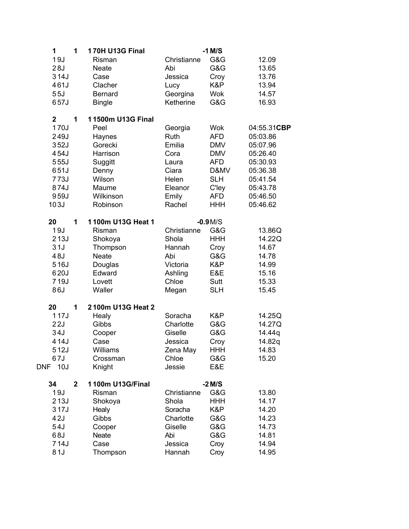| 1           | 1            | <b>170H U13G Final</b> |             | $-1$ M/S   |             |
|-------------|--------------|------------------------|-------------|------------|-------------|
| 19J         |              | Risman                 | Christianne | G&G        | 12.09       |
| 28J         |              | <b>Neate</b>           | Abi         | G&G        | 13.65       |
| 314J        |              | Case                   | Jessica     | Croy       | 13.76       |
| 461J        |              | Clacher                | Lucy        | K&P        | 13.94       |
| 55J         |              | <b>Bernard</b>         | Georgina    | <b>Wok</b> | 14.57       |
| 657J        |              | <b>Bingle</b>          | Ketherine   | G&G        | 16.93       |
| $\mathbf 2$ | 1            | 11500m U13G Final      |             |            |             |
| 170J        |              | Peel                   | Georgia     | <b>Wok</b> | 04:55.31CBP |
| 249J        |              | Haynes                 | Ruth        | <b>AFD</b> | 05:03.86    |
| 352J        |              | Gorecki                | Emilia      | <b>DMV</b> | 05:07.96    |
| 454J        |              | Harrison               | Cora        | <b>DMV</b> | 05:26.40    |
| 555J        |              | Suggitt                | Laura       | <b>AFD</b> | 05:30.93    |
| 651J        |              | Denny                  | Ciara       | D&MV       | 05:36.38    |
| 773J        |              | Wilson                 | Helen       | <b>SLH</b> | 05:41.54    |
| 874J        |              | Maume                  | Eleanor     | C'ley      | 05:43.78    |
| 959J        |              | Wilkinson              | Emily       | <b>AFD</b> | 05:46.50    |
| 103J        |              | Robinson               | Rachel      | <b>HHH</b> | 05:46.62    |
| 20          | 1            | 1100m U13G Heat 1      |             | $-0.9M/S$  |             |
| 19J         |              | Risman                 | Christianne | G&G        | 13.86Q      |
| 213J        |              | Shokoya                | Shola       | <b>HHH</b> | 14.22Q      |
| 31J         |              | Thompson               | Hannah      | Croy       | 14.67       |
| 48J         |              | <b>Neate</b>           | Abi         | G&G        | 14.78       |
| 516J        |              | Douglas                | Victoria    | K&P        | 14.99       |
| 620J        |              | Edward                 | Ashling     | E&E        | 15.16       |
| 719J        |              | Lovett                 | Chloe       | Sutt       | 15.33       |
| 86J         |              | Waller                 | Megan       | <b>SLH</b> | 15.45       |
| 20          | 1            | 2100m U13G Heat 2      |             |            |             |
| 117J        |              | Healy                  | Soracha     | K&P        | 14.25Q      |
| 22J         |              | Gibbs                  | Charlotte   | G&G        | 14.27Q      |
| 34J         |              | Cooper                 | Giselle     | G&G        | 14.44g      |
| 414J        |              | Case                   | Jessica     | Croy       | 14.82q      |
| 512J        |              | Williams               | Zena May    | <b>HHH</b> | 14.83       |
| 67J         |              | Crossman               | Chloe       | G&G        | 15.20       |
| DNF<br>10J  |              | Knight                 | Jessie      | E&E        |             |
| 34          | $\mathbf{2}$ | 1100m U13G/Final       |             | $-2$ M/S   |             |
| 19J         |              | Risman                 | Christianne | G&G        | 13.80       |
| 213J        |              | Shokoya                | Shola       | <b>HHH</b> | 14.17       |
| 317J        |              | Healy                  | Soracha     | K&P        | 14.20       |
| 42J         |              | Gibbs                  | Charlotte   | G&G        | 14.23       |
| 54J         |              | Cooper                 | Giselle     | G&G        | 14.73       |
| 68J         |              | <b>Neate</b>           | Abi         | G&G        | 14.81       |
| 714J        |              | Case                   | Jessica     | Croy       | 14.94       |
| 81J         |              | Thompson               | Hannah      | Croy       | 14.95       |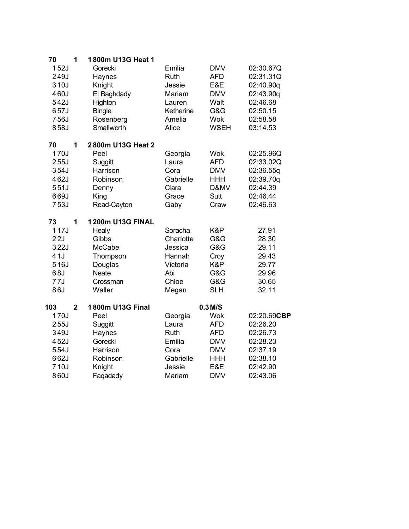| 70   | 1              | 1800m U13G Heat 1       |             |             |             |
|------|----------------|-------------------------|-------------|-------------|-------------|
| 152J |                | Gorecki                 | Emilia      | <b>DMV</b>  | 02:30.67Q   |
| 249J |                | Haynes                  | <b>Ruth</b> | <b>AFD</b>  | 02:31.31Q   |
| 310J |                | Knight                  | Jessie      | E&E         | 02:40.90q   |
| 460J |                | El Baghdady             | Mariam      | <b>DMV</b>  | 02:43.90q   |
| 542J |                | Highton                 | Lauren      | Walt        | 02:46.68    |
| 657J |                | <b>Bingle</b>           | Ketherine   | G&G         | 02:50.15    |
| 756J |                | Rosenberg               | Amelia      | <b>Wok</b>  | 02:58.58    |
| 858J |                | Smallworth              | Alice       | <b>WSEH</b> | 03:14.53    |
| 70   | 1              | 2800m U13G Heat 2       |             |             |             |
| 170J |                | Peel                    | Georgia     | <b>Wok</b>  | 02:25.96Q   |
| 255J |                | Suggitt                 | Laura       | <b>AFD</b>  | 02:33.02Q   |
| 354J |                | Harrison                | Cora        | <b>DMV</b>  | 02:36.55q   |
| 462J |                | Robinson                | Gabrielle   | <b>HHH</b>  | 02:39.70q   |
| 551J |                | Denny                   | Ciara       | D&MV        | 02:44.39    |
| 669J |                | King                    | Grace       | Sutt        | 02:46.44    |
| 753J |                | Read-Cayton             | Gaby        | Craw        | 02:46.63    |
| 73   | 1              | <b>1200m U13G FINAL</b> |             |             |             |
| 117J |                | Healy                   | Soracha     | K&P         | 27.91       |
| 22J  |                | Gibbs                   | Charlotte   | G&G         | 28.30       |
| 322J |                | McCabe                  | Jessica     | G&G         | 29.11       |
| 41J  |                | Thompson                | Hannah      | Croy        | 29.43       |
| 516J |                | Douglas                 | Victoria    | K&P         | 29.77       |
| 68J  |                | <b>Neate</b>            | Abi         | G&G         | 29.96       |
| 77J  |                | Crossman                | Chloe       | G&G         | 30.65       |
| 86J  |                | Waller                  | Megan       | <b>SLH</b>  | 32.11       |
| 103  | $\overline{2}$ | 1800m U13G Final        |             | $0.3$ M/S   |             |
| 170J |                | Peel                    | Georgia     | <b>Wok</b>  | 02:20.69CBP |
| 255J |                | Suggitt                 | Laura       | <b>AFD</b>  | 02:26.20    |
| 349J |                | Haynes                  | Ruth        | <b>AFD</b>  | 02:26.73    |
| 452J |                | Gorecki                 | Emilia      | <b>DMV</b>  | 02:28.23    |
| 554J |                | Harrison                | Cora        | <b>DMV</b>  | 02:37.19    |
| 662J |                | Robinson                | Gabrielle   | <b>HHH</b>  | 02:38.10    |
| 710J |                | Knight                  | Jessie      | E&E         | 02:42.90    |
| 860J |                | Faqadady                | Mariam      | <b>DMV</b>  | 02:43.06    |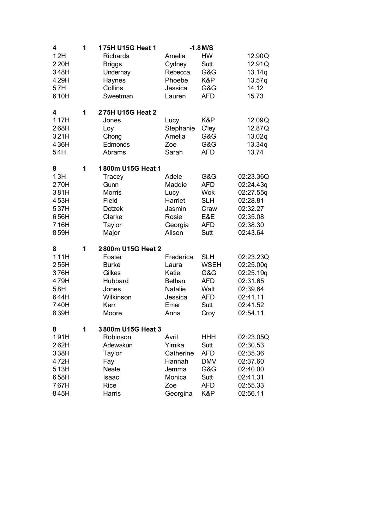| 4                                                                 | 1 | 175H U15G Heat 1                                                                                             |                                                                                    | $-1.8$ M/S                                                                           |                                                                                                 |
|-------------------------------------------------------------------|---|--------------------------------------------------------------------------------------------------------------|------------------------------------------------------------------------------------|--------------------------------------------------------------------------------------|-------------------------------------------------------------------------------------------------|
| 12H<br>220H<br>348H<br>429H<br>57H<br>610H                        |   | <b>Richards</b><br><b>Briggs</b><br>Underhay<br>Haynes<br>Collins<br>Sweetman                                | Amelia<br>Cydney<br>Rebecca<br>Phoebe<br>Jessica<br>Lauren                         | <b>HW</b><br>Sutt<br>G&G<br>K&P<br>G&G<br><b>AFD</b>                                 | 12.90Q<br>12.91Q<br>13.14q<br>13.57q<br>14.12<br>15.73                                          |
| 4<br>117H<br>268H<br>321H<br>436H<br>54H                          | 1 | 275H U15G Heat 2<br>Jones<br>Loy<br>Chong<br>Edmonds<br>Abrams                                               | Lucy<br>Stephanie<br>Amelia<br>Zoe<br>Sarah                                        | K&P<br><b>C'ley</b><br>G&G<br>G&G<br><b>AFD</b>                                      | 12.09Q<br>12.87Q<br>13.02q<br>13.34q<br>13.74                                                   |
| 8<br>13H<br>270H<br>381H<br>453H<br>537H<br>656H<br>716H<br>859H  | 1 | 1800m U15G Heat 1<br>Tracey<br>Gunn<br><b>Morris</b><br>Field<br><b>Dotzek</b><br>Clarke<br>Taylor<br>Major  | Adele<br>Maddie<br>Lucy<br>Harriet<br>Jasmin<br>Rosie<br>Georgia<br>Alison         | G&G<br><b>AFD</b><br><b>Wok</b><br><b>SLH</b><br>Craw<br>E&E<br><b>AFD</b><br>Sutt   | 02:23.36Q<br>02:24.43q<br>02:27.55g<br>02:28.81<br>02:32.27<br>02:35.08<br>02:38.30<br>02:43.64 |
| 8<br>111H<br>255H<br>376H<br>479H<br>58H<br>644H<br>740H<br>839H  | 1 | 2800m U15G Heat 2<br>Foster<br><b>Burke</b><br>Gilkes<br>Hubbard<br>Jones<br>Wilkinson<br>Kerr<br>Moore      | Frederica<br>Laura<br>Katie<br><b>Bethan</b><br>Natalie<br>Jessica<br>Emer<br>Anna | <b>SLH</b><br><b>WSEH</b><br>G&G<br><b>AFD</b><br>Walt<br><b>AFD</b><br>Sutt<br>Croy | 02:23.23Q<br>02:25.00q<br>02:25.19q<br>02:31.65<br>02:39.64<br>02:41.11<br>02:41.52<br>02:54.11 |
| 8<br>191H<br>262H<br>338H<br>472H<br>513H<br>658H<br>767H<br>845H | 1 | 3800m U15G Heat 3<br>Robinson<br>Adewakun<br>Taylor<br>Fay<br><b>Neate</b><br>Isaac<br><b>Rice</b><br>Harris | Avril<br>Yimika<br>Catherine<br>Hannah<br>Jemma<br>Monica<br>Zoe<br>Georgina       | <b>HHH</b><br>Sutt<br><b>AFD</b><br><b>DMV</b><br>G&G<br>Sutt<br><b>AFD</b><br>K&P   | 02:23.05Q<br>02:30.53<br>02:35.36<br>02:37.60<br>02:40.00<br>02:41.31<br>02:55.33<br>02:56.11   |
|                                                                   |   |                                                                                                              |                                                                                    |                                                                                      |                                                                                                 |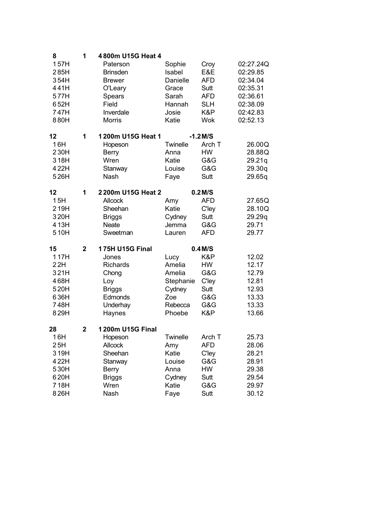| 8    | 1              | 4800m U15G Heat 4      |           |              |           |
|------|----------------|------------------------|-----------|--------------|-----------|
| 157H |                | Paterson               | Sophie    | Croy         | 02:27.24Q |
| 285H |                | <b>Brinsden</b>        | Isabel    | E&E          | 02:29.85  |
| 354H |                | <b>Brewer</b>          | Danielle  | <b>AFD</b>   | 02:34.04  |
| 441H |                | O'Leary                | Grace     | Sutt         | 02:35.31  |
| 577H |                | Spears                 | Sarah     | <b>AFD</b>   | 02:36.61  |
| 652H |                | Field                  | Hannah    | <b>SLH</b>   | 02:38.09  |
| 747H |                | Inverdale              | Josie     | K&P          | 02:42.83  |
| 880H |                | <b>Morris</b>          | Katie     | Wok          | 02:52.13  |
| 12   | 1              | 1200m U15G Heat 1      |           | $-1.2$ M/S   |           |
| 16H  |                | Hopeson                | Twinelle  | Arch T       | 26.00Q    |
| 230H |                | <b>Berry</b>           | Anna      | <b>HW</b>    | 28.88Q    |
| 318H |                | Wren                   | Katie     | G&G          | 29.21q    |
| 422H |                | Stanway                | Louise    | G&G          | 29.30q    |
| 526H |                | Nash                   | Faye      | Sutt         | 29.65q    |
| 12   | 1              | 2200m U15G Heat 2      |           | $0.2$ M/S    |           |
| 15H  |                | <b>Allcock</b>         | Amy       | <b>AFD</b>   | 27.65Q    |
| 219H |                | Sheehan                | Katie     | <b>C'ley</b> | 28.10Q    |
| 320H |                | <b>Briggs</b>          | Cydney    | Sutt         | 29.29q    |
| 413H |                | Neate                  | Jemma     | G&G          | 29.71     |
| 510H |                | Sweetman               | Lauren    | <b>AFD</b>   | 29.77     |
| 15   | $\overline{2}$ | <b>175H U15G Final</b> |           | $0.4$ M/S    |           |
| 117H |                | Jones                  | Lucy      | K&P          | 12.02     |
| 22H  |                | Richards               | Amelia    | HW           | 12.17     |
| 321H |                | Chong                  | Amelia    | G&G          | 12.79     |
| 468H |                | Loy                    | Stephanie | C'ley        | 12.81     |
| 520H |                | <b>Briggs</b>          | Cydney    | Sutt         | 12.93     |
| 636H |                | Edmonds                | Zoe       | G&G          | 13.33     |
| 748H |                | Underhay               | Rebecca   | G&G          | 13.33     |
| 829H |                | Haynes                 | Phoebe    | K&P          | 13.66     |
| 28   | $\mathbf{2}$   | 1200m U15G Final       |           |              |           |
| 16H  |                | Hopeson                | Twinelle  | Arch T       | 25.73     |
| 25H  |                | Allcock                | Amy       | AFD          | 28.06     |
| 319H |                | Sheehan                | Katie     | C'ley        | 28.21     |
| 422H |                | Stanway                | Louise    | G&G          | 28.91     |
| 530H |                | <b>Berry</b>           | Anna      | HW           | 29.38     |
| 620H |                | <b>Briggs</b>          | Cydney    | Sutt         | 29.54     |
| 718H |                | Wren                   | Katie     | G&G          | 29.97     |
| 826H |                | Nash                   | Faye      | Sutt         | 30.12     |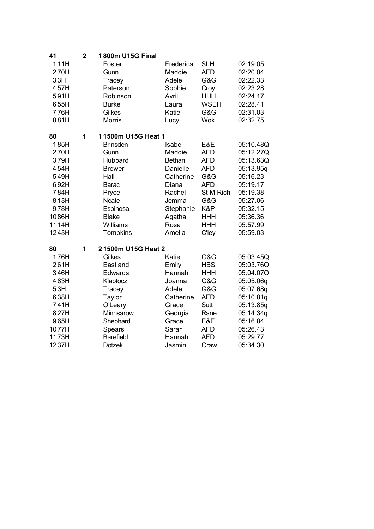| 41    | $\overline{2}$ | 1800m U15G Final   |           |             |           |
|-------|----------------|--------------------|-----------|-------------|-----------|
| 111H  |                | Foster             | Frederica | <b>SLH</b>  | 02:19.05  |
| 270H  |                | Gunn               | Maddie    | <b>AFD</b>  | 02:20.04  |
| 33H   |                | Tracey             | Adele     | G&G         | 02:22.33  |
| 457H  |                | Paterson           | Sophie    | Croy        | 02:23.28  |
| 591H  |                | Robinson           | Avril     | <b>HHH</b>  | 02:24.17  |
| 655H  |                | <b>Burke</b>       | Laura     | <b>WSEH</b> | 02:28.41  |
| 776H  |                | Gilkes             | Katie     | G&G         | 02:31.03  |
| 881H  |                | <b>Morris</b>      | Lucy      | <b>Wok</b>  | 02:32.75  |
| 80    | 1              | 11500m U15G Heat 1 |           |             |           |
| 185H  |                | <b>Brinsden</b>    | Isabel    | E&E         | 05:10.48Q |
| 270H  |                | Gunn               | Maddie    | <b>AFD</b>  | 05:12.27Q |
| 379H  |                | Hubbard            | Bethan    | <b>AFD</b>  | 05:13.63Q |
| 454H  |                | <b>Brewer</b>      | Danielle  | <b>AFD</b>  | 05:13.95q |
| 549H  |                | Hall               | Catherine | G&G         | 05:16.23  |
| 692H  |                | Barac              | Diana     | <b>AFD</b>  | 05:19.17  |
| 784H  |                | Pryce              | Rachel    | St M Rich   | 05:19.38  |
| 813H  |                | <b>Neate</b>       | Jemma     | G&G         | 05:27.06  |
| 978H  |                | Espinosa           | Stephanie | K&P         | 05:32.15  |
| 1086H |                | <b>Blake</b>       | Agatha    | <b>HHH</b>  | 05:36.36  |
| 1114H |                | Williams           | Rosa      | <b>HHH</b>  | 05:57.99  |
| 1243H |                | <b>Tompkins</b>    | Amelia    | C'ley       | 05:59.03  |
| 80    | 1              | 21500m U15G Heat 2 |           |             |           |
| 176H  |                | Gilkes             | Katie     | G&G         | 05:03.45Q |
| 261H  |                | Eastland           | Emily     | <b>HBS</b>  | 05:03.76Q |
| 346H  |                | Edwards            | Hannah    | <b>HHH</b>  | 05:04.07Q |
| 483H  |                | Klaptocz           | Joanna    | G&G         | 05:05.06q |
| 53H   |                | Tracey             | Adele     | G&G         | 05:07.68q |
| 638H  |                | Taylor             | Catherine | <b>AFD</b>  | 05:10.81q |
| 741H  |                | O'Leary            | Grace     | Sutt        | 05:13.85q |
| 827H  |                | Minnsarow          | Georgia   | Rane        | 05:14.34q |
| 965H  |                | Shephard           | Grace     | E&E         | 05:16.84  |
| 1077H |                | Spears             | Sarah     | <b>AFD</b>  | 05:26.43  |
| 1173H |                | <b>Barefield</b>   | Hannah    | <b>AFD</b>  | 05:29.77  |
| 1237H |                | <b>Dotzek</b>      | Jasmin    | Craw        | 05:34.30  |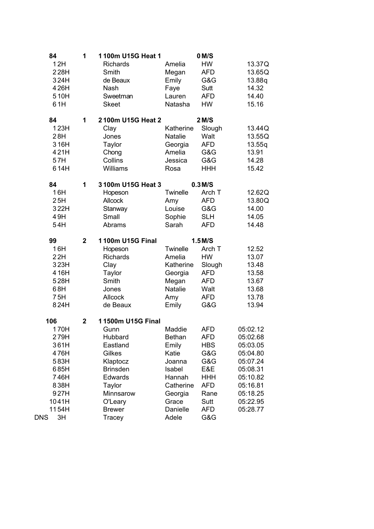| 84        | 1              | 1100m U15G Heat 1 |                | 0 M/S      |          |
|-----------|----------------|-------------------|----------------|------------|----------|
| 12H       |                | <b>Richards</b>   | Amelia         | <b>HW</b>  | 13.37Q   |
| 228H      |                | Smith             | Megan          | <b>AFD</b> | 13.65Q   |
| 324H      |                | de Beaux          | Emily          | G&G        | 13.88q   |
| 426H      |                | Nash              | Faye           | Sutt       | 14.32    |
| 510H      |                | Sweetman          | Lauren         | <b>AFD</b> | 14.40    |
| 61H       |                | <b>Skeet</b>      | Natasha        | HW         | 15.16    |
| 84        | 1              | 2100m U15G Heat 2 |                | 2 M/S      |          |
| 123H      |                | Clay              | Katherine      | Slough     | 13.44Q   |
| 28H       |                | Jones             | <b>Natalie</b> | Walt       | 13.55Q   |
| 316H      |                | <b>Taylor</b>     | Georgia        | <b>AFD</b> | 13.55q   |
| 421H      |                | Chong             | Amelia         | G&G        | 13.91    |
| 57H       |                | Collins           | Jessica        | G&G        | 14.28    |
| 614H      |                | Williams          | Rosa           | <b>HHH</b> | 15.42    |
| 84        | 1              | 3100m U15G Heat 3 |                | $0.3$ M/S  |          |
| 16H       |                | Hopeson           | Twinelle       | Arch T     | 12.62Q   |
| 25H       |                | <b>Allcock</b>    | Amy            | <b>AFD</b> | 13.80Q   |
| 322H      |                | Stanway           | Louise         | G&G        | 14.00    |
| 49H       |                | Small             | Sophie         | <b>SLH</b> | 14.05    |
| 54H       |                | Abrams            | Sarah          | <b>AFD</b> | 14.48    |
| 99        | $\mathbf{2}$   | 1100m U15G Final  |                | $1.5$ M/S  |          |
| 16H       |                | Hopeson           | Twinelle       | Arch T     | 12.52    |
| 22H       |                | <b>Richards</b>   | Amelia         | <b>HW</b>  | 13.07    |
| 323H      |                | Clay              | Katherine      | Slough     | 13.48    |
| 416H      |                | Taylor            | Georgia        | <b>AFD</b> | 13.58    |
| 528H      |                | Smith             | Megan          | <b>AFD</b> | 13.67    |
| 68H       |                | Jones             | <b>Natalie</b> | Walt       | 13.68    |
| 75H       |                | Allcock           | Amy            | <b>AFD</b> | 13.78    |
| 824H      |                | de Beaux          | Emily          | G&G        | 13.94    |
| 106       | $\overline{2}$ | 11500m U15G Final |                |            |          |
| 170H      |                | Gunn              | Maddie         | <b>AFD</b> | 05:02.12 |
| 279H      |                | Hubbard           | <b>Bethan</b>  | <b>AFD</b> | 05:02.68 |
| 361H      |                | Eastland          | Emily          | <b>HBS</b> | 05:03.05 |
| 476H      |                | Gilkes            | Katie          | G&G        | 05:04.80 |
| 583H      |                | Klaptocz          | Joanna         | G&G        | 05:07.24 |
| 685H      |                | <b>Brinsden</b>   | Isabel         | E&E        | 05:08.31 |
| 746H      |                | Edwards           | Hannah         | <b>HHH</b> | 05:10.82 |
| 838H      |                | Taylor            | Catherine      | <b>AFD</b> | 05:16.81 |
| 927H      |                | Minnsarow         | Georgia        | Rane       | 05:18.25 |
| 1041H     |                | O'Leary           | Grace          | Sutt       | 05:22.95 |
| 1154H     |                | <b>Brewer</b>     | Danielle       | <b>AFD</b> | 05:28.77 |
| DNS<br>3H |                | Tracey            | Adele          | G&G        |          |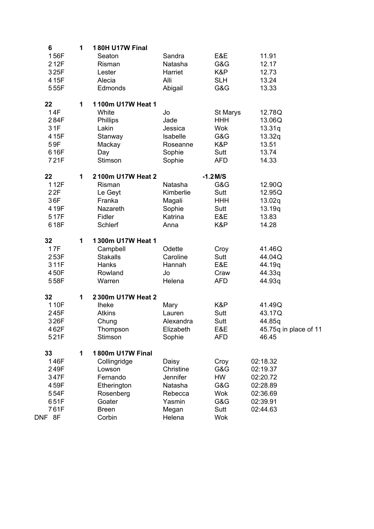| 6      | 1 | 180H U17W Final   |                 |            |                       |
|--------|---|-------------------|-----------------|------------|-----------------------|
| 156F   |   | Seaton            | Sandra          | E&E        | 11.91                 |
| 212F   |   | Risman            | Natasha         | G&G        | 12.17                 |
| 325F   |   | Lester            | Harriet         | K&P        | 12.73                 |
| 415F   |   | Alecia            | Alli            | <b>SLH</b> | 13.24                 |
| 555F   |   | Edmonds           | Abigail         | G&G        | 13.33                 |
| 22     | 1 | 1100m U17W Heat 1 |                 |            |                       |
| 14F    |   | White             | Jo              | St Marys   | 12.78Q                |
| 284F   |   | Phillips          | Jade            | <b>HHH</b> | 13.06Q                |
| 31F    |   | Lakin             | Jessica         | <b>Wok</b> | 13.31q                |
| 415F   |   | Stanway           | Isabelle        | G&G        | 13.32q                |
| 59F    |   | Mackay            | Roseanne        | K&P        | 13.51                 |
| 616F   |   | Day               | Sophie          | Sutt       | 13.74                 |
| 721F   |   | Stimson           | Sophie          | <b>AFD</b> | 14.33                 |
| 22     | 1 | 2100m U17W Heat 2 |                 | $-1.2$ M/S |                       |
| 112F   |   | Risman            | Natasha         | G&G        | 12.90Q                |
| 22F    |   | Le Geyt           | Kimberlie       | Sutt       | 12.95Q                |
| 36F    |   | Franka            | Magali          | <b>HHH</b> | 13.02q                |
| 419F   |   | Nazareth          | Sophie          | Sutt       | 13.19q                |
| 517F   |   | Fidler            | Katrina         | E&E        | 13.83                 |
| 618F   |   | Schlerf           | Anna            | K&P        | 14.28                 |
| 32     | 1 | 1300m U17W Heat 1 |                 |            |                       |
| 17F    |   | Campbell          | Odette          | Croy       | 41.46Q                |
| 253F   |   | <b>Stakalls</b>   | Caroline        | Sutt       | 44.04Q                |
| 311F   |   | Hanks             | Hannah          | E&E        | 44.19q                |
| 450F   |   | Rowland           | Jo              | Craw       | 44.33q                |
| 558F   |   | Warren            | Helena          | <b>AFD</b> | 44.93q                |
| 32     | 1 | 2300m U17W Heat 2 |                 |            |                       |
| 110F   |   | <b>Iheke</b>      | Mary            | K&P        | 41.49Q                |
| 245F   |   | <b>Atkins</b>     | Lauren          | Sutt       | 43.17Q                |
| 326F   |   | Chung             | Alexandra       | Sutt       | 44.85q                |
| 462F   |   | Thompson          | Elizabeth       | E&E        | 45.75q in place of 11 |
| 521F   |   | Stimson           | Sophie          | <b>AFD</b> | 46.45                 |
| 33     | 1 | 1800m U17W Final  |                 |            |                       |
| 146F   |   | Collingridge      | Daisy           | Croy       | 02:18.32              |
| 249F   |   | Lowson            | Christine       | G&G        | 02:19.37              |
| 347F   |   | Fernando          | <b>Jennifer</b> | <b>HW</b>  | 02:20.72              |
| 459F   |   | Etherington       | Natasha         | G&G        | 02:28.89              |
| 554F   |   | Rosenberg         | Rebecca         | <b>Wok</b> | 02:36.69              |
| 651F   |   | Goater            | Yasmin          | G&G        | 02:39.91              |
| 761F   |   | <b>Breen</b>      | Megan           | Sutt       | 02:44.63              |
| DNF 8F |   | Corbin            | Helena          | <b>Wok</b> |                       |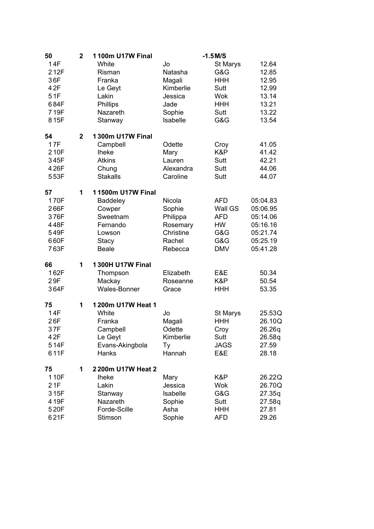| 50    | $\mathbf 2$    | 1100m U17W Final        |           | $-1.5$ M/S  |          |
|-------|----------------|-------------------------|-----------|-------------|----------|
| 14F   |                | White                   | Jo        | St Marys    | 12.64    |
| 212F  |                | Risman                  | Natasha   | G&G         | 12.85    |
| 36F   |                | Franka                  | Magali    | <b>HHH</b>  | 12.95    |
| 42F   |                | Le Geyt                 | Kimberlie | Sutt        | 12.99    |
| 51F   |                | Lakin                   | Jessica   | Wok         | 13.14    |
| 684F  |                | Phillips                | Jade      | <b>HHH</b>  | 13.21    |
| 719F  |                | Nazareth                | Sophie    | Sutt        | 13.22    |
| 815F  |                | Stanway                 | Isabelle  | G&G         | 13.54    |
| 54    | $\overline{2}$ | <b>1300m U17W Final</b> |           |             |          |
| 17F   |                | Campbell                | Odette    | Croy        | 41.05    |
| 210F  |                | <b>Iheke</b>            | Mary      | K&P         | 41.42    |
| 345F  |                | <b>Atkins</b>           | Lauren    | Sutt        | 42.21    |
| 426F  |                | Chung                   | Alexandra | Sutt        | 44.06    |
| 553F  |                | <b>Stakalls</b>         | Caroline  | Sutt        | 44.07    |
| 57    | 1              | 11500m U17W Final       |           |             |          |
| 170F  |                | <b>Baddeley</b>         | Nicola    | <b>AFD</b>  | 05:04.83 |
| 266F  |                | Cowper                  | Sophie    | Wall GS     | 05:06.95 |
| 376F  |                | Sweetnam                | Philippa  | <b>AFD</b>  | 05:14.06 |
| 448F  |                | Fernando                | Rosemary  | HW          | 05:16.16 |
| 549F  |                | Lowson                  | Christine | G&G         | 05:21.74 |
| 660F  |                | Stacy                   | Rachel    | G&G         | 05:25.19 |
| 763F  |                | <b>Beale</b>            | Rebecca   | <b>DMV</b>  | 05:41.28 |
| 66    | 1              | <b>1300H U17W Final</b> |           |             |          |
| 162F  |                | Thompson                | Elizabeth | E&E         | 50.34    |
| 29F   |                | Mackay                  | Roseanne  | K&P         | 50.54    |
| 364F  |                | <b>Wales-Bonner</b>     | Grace     | <b>HHH</b>  | 53.35    |
| 75    | 1              | 1200m U17W Heat 1       |           |             |          |
| 14F   |                | White                   | Jo        | St Marys    | 25.53Q   |
| 26F   |                | Franka                  | Magali    | <b>HHH</b>  | 26.10Q   |
| 37F   |                | Campbell                | Odette    | Croy        | 26.26q   |
| 4 2 F |                | Le Geyt                 | Kimberlie | Sutt        | 26.58q   |
| 514F  |                | Evans-Akingbola         | Ty        | <b>JAGS</b> | 27.59    |
| 611F  |                | Hanks                   | Hannah    | E&E         | 28.18    |
| 75    | 1              | 2200m U17W Heat 2       |           |             |          |
| 110F  |                | <b>Iheke</b>            | Mary      | K&P         | 26.22Q   |
| 21F   |                | Lakin                   | Jessica   | Wok         | 26.70Q   |
| 315F  |                | Stanway                 | Isabelle  | G&G         | 27.35q   |
| 419F  |                | Nazareth                | Sophie    | Sutt        | 27.58q   |
| 520F  |                | Forde-Scille            | Asha      | HHH         | 27.81    |
| 621F  |                | Stimson                 | Sophie    | <b>AFD</b>  | 29.26    |
|       |                |                         |           |             |          |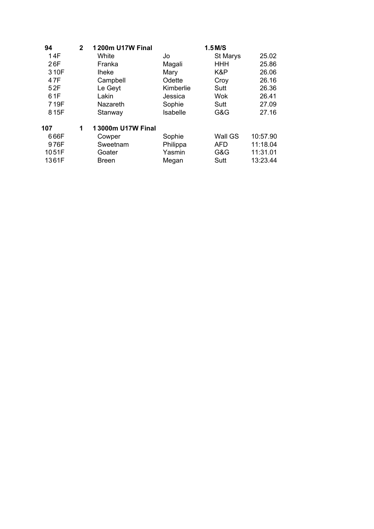| 94    | $\mathbf{2}$ | <b>1200m U17W Final</b> |           | $1.5$ M/S  |          |
|-------|--------------|-------------------------|-----------|------------|----------|
| 14F   |              | White                   | Jo        | St Marys   | 25.02    |
| 26F   |              | Franka                  | Magali    | <b>HHH</b> | 25.86    |
| 310F  |              | <b>Iheke</b>            | Mary      | K&P        | 26.06    |
| 47F   |              | Campbell                | Odette    | Croy       | 26.16    |
| 52F   |              | Le Geyt                 | Kimberlie | Sutt       | 26.36    |
| 61F   |              | Lakin                   | Jessica   | <b>Wok</b> | 26.41    |
| 719F  |              | <b>Nazareth</b>         | Sophie    | Sutt       | 27.09    |
| 815F  |              | Stanway                 | Isabelle  | G&G        | 27.16    |
| 107   | 1            | 13000m U17W Final       |           |            |          |
| 666F  |              | Cowper                  | Sophie    | Wall GS    | 10:57.90 |
| 976F  |              | Sweetnam                | Philippa  | <b>AFD</b> | 11:18.04 |
| 1051F |              | Goater                  | Yasmin    | G&G        | 11:31.01 |
| 1361F |              | <b>Breen</b>            | Megan     | Sutt       | 13:23.44 |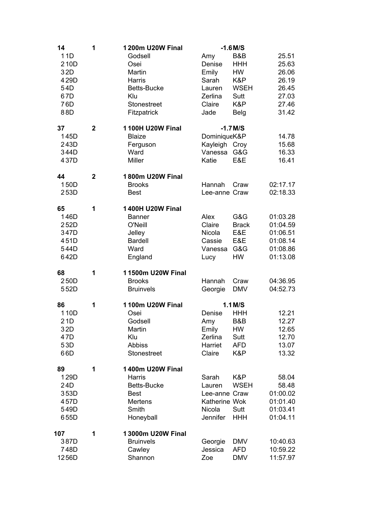| 14  |                                                        | 1           | 1200m U20W Final                                                                                                      |                                                                         | $-1.6$ M/S                                                                         |                                                                      |
|-----|--------------------------------------------------------|-------------|-----------------------------------------------------------------------------------------------------------------------|-------------------------------------------------------------------------|------------------------------------------------------------------------------------|----------------------------------------------------------------------|
|     | 11D<br>210D<br>32D<br>429D<br>54D<br>67D<br>76D<br>88D |             | Godsell<br>Osei<br>Martin<br>Harris<br><b>Betts-Bucke</b><br>Klu<br>Stonestreet<br>Fitzpatrick                        | Amy<br>Denise<br>Emily<br>Sarah<br>Lauren<br>Zerlina<br>Claire<br>Jade  | B&B<br><b>HHH</b><br><b>HW</b><br>K&P<br><b>WSEH</b><br>Sutt<br>K&P<br><b>Belg</b> | 25.51<br>25.63<br>26.06<br>26.19<br>26.45<br>27.03<br>27.46<br>31.42 |
| 37  | 145D<br>243D<br>344D<br>437D                           | $\mathbf 2$ | <b>1100H U20W Final</b><br><b>Blaize</b><br>Ferguson<br>Ward<br>Miller                                                | DominiqueK&P<br>Kayleigh Croy<br>Vanessa<br>Katie                       | $-1.7$ M/S<br>G&G<br>E&E                                                           | 14.78<br>15.68<br>16.33<br>16.41                                     |
| 44  | 150D<br>253D                                           | $\mathbf 2$ | 1800m U20W Final<br><b>Brooks</b><br><b>Best</b>                                                                      | Hannah<br>Lee-anne Craw                                                 | Craw                                                                               | 02:17.17<br>02:18.33                                                 |
| 65  | 146D<br>252D<br>347D<br>451D<br>544D<br>642D           | 1           | <b>1400H U20W Final</b><br><b>Banner</b><br>O'Neill<br>Jelley<br><b>Bardell</b><br>Ward<br>England                    | Alex<br>Claire<br>Nicola<br>Cassie<br>Vanessa<br>Lucy                   | G&G<br><b>Brack</b><br>E&E<br>E&E<br>G&G<br><b>HW</b>                              | 01:03.28<br>01:04.59<br>01:06.51<br>01:08.14<br>01:08.86<br>01:13.08 |
| 68  | 250D<br>552D                                           | 1           | 11500m U20W Final<br><b>Brooks</b><br><b>Bruinvels</b>                                                                | Hannah<br>Georgie                                                       | Craw<br><b>DMV</b>                                                                 | 04:36.95<br>04:52.73                                                 |
| 86  | 110D<br>21D<br>32D<br>47D<br>53D<br>66D                | 1           | <b>1100m U20W Final</b><br>Osei<br>Godsell<br>Martin<br>Klu<br><b>Abbiss</b><br>Stonestreet                           | Denise<br>Amy<br>Emily<br>Zerlina<br>Harriet<br>Claire                  | $1.1$ M/S<br><b>HHH</b><br>B&B<br><b>HW</b><br>Sutt<br><b>AFD</b><br>K&P           | 12.21<br>12.27<br>12.65<br>12.70<br>13.07<br>13.32                   |
| 89  | 129D<br>24D<br>353D<br>457D<br>549D<br>655D            | 1           | <b>1400m U20W Final</b><br><b>Harris</b><br><b>Betts-Bucke</b><br><b>Best</b><br><b>Mertens</b><br>Smith<br>Honeyball | Sarah<br>Lauren<br>Lee-anne Craw<br>Katherine Wok<br>Nicola<br>Jennifer | K&P<br><b>WSEH</b><br>Sutt<br><b>HHH</b>                                           | 58.04<br>58.48<br>01:00.02<br>01:01.40<br>01:03.41<br>01:04.11       |
| 107 | 387D<br>748D<br>1256D                                  | 1           | 13000m U20W Final<br><b>Bruinvels</b><br>Cawley<br>Shannon                                                            | Georgie<br>Jessica<br>Zoe                                               | <b>DMV</b><br><b>AFD</b><br><b>DMV</b>                                             | 10:40.63<br>10:59.22<br>11:57.97                                     |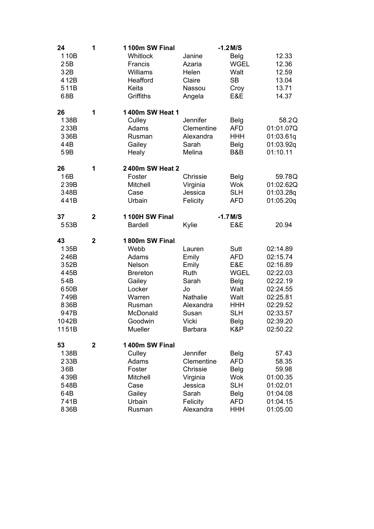| 24                                                                                          | 1              | 1100m SW Final                                                                                                                         |                                                                                                              | $-1.2$ M/S                                                                                                  |                                                                                                                                  |
|---------------------------------------------------------------------------------------------|----------------|----------------------------------------------------------------------------------------------------------------------------------------|--------------------------------------------------------------------------------------------------------------|-------------------------------------------------------------------------------------------------------------|----------------------------------------------------------------------------------------------------------------------------------|
| 110B<br>25B<br>32B<br>412B<br>511B<br>68B                                                   |                | Whitlock<br>Francis<br>Williams<br>Heafford<br>Keita<br>Griffiths                                                                      | Janine<br>Azaria<br>Helen<br>Claire<br>Nassou<br>Angela                                                      | Belg<br><b>WGEL</b><br>Walt<br><b>SB</b><br>Croy<br>E&E                                                     | 12.33<br>12.36<br>12.59<br>13.04<br>13.71<br>14.37                                                                               |
| 26<br>138B<br>233B<br>336B<br>44B<br>59B                                                    | 1              | 1400m SW Heat 1<br>Culley<br>Adams<br>Rusman<br>Gailey<br>Healy                                                                        | Jennifer<br>Clementine<br>Alexandra<br>Sarah<br>Melina                                                       | <b>Belg</b><br><b>AFD</b><br><b>HHH</b><br>Belg<br>B&B                                                      | 58.2Q<br>01:01.07Q<br>01:03.61q<br>01:03.92q<br>01:10.11                                                                         |
| 26<br>16B<br>239B<br>348B<br>441B                                                           | 1              | 2400m SW Heat 2<br>Foster<br>Mitchell<br>Case<br>Urbain                                                                                | Chrissie<br>Virginia<br>Jessica<br>Felicity                                                                  | Belg<br><b>Wok</b><br><b>SLH</b><br><b>AFD</b>                                                              | 59.78Q<br>01:02.62Q<br>01:03.28q<br>01:05.20q                                                                                    |
| 37<br>553B                                                                                  | $\overline{2}$ | 1100H SW Final<br><b>Bardell</b>                                                                                                       | Kylie                                                                                                        | $-1.7$ M/S<br>E&E                                                                                           | 20.94                                                                                                                            |
| 43<br>135B<br>246B<br>352B<br>445B<br>54B<br>650B<br>749B<br>836B<br>947B<br>1042B<br>1151B | $\mathbf 2$    | 1800m SW Final<br>Webb<br>Adams<br>Nelson<br><b>Brereton</b><br>Gailey<br>Locker<br>Warren<br>Rusman<br>McDonald<br>Goodwin<br>Mueller | Lauren<br>Emily<br>Emily<br>Ruth<br>Sarah<br>Jo<br>Nathalie<br>Alexandra<br>Susan<br>Vicki<br><b>Barbara</b> | Sutt<br><b>AFD</b><br>E&E<br><b>WGEL</b><br>Belg<br>Walt<br>Walt<br><b>HHH</b><br><b>SLH</b><br>Belg<br>K&P | 02:14.89<br>02:15.74<br>02:16.89<br>02:22.03<br>02:22.19<br>02:24.55<br>02:25.81<br>02:29.52<br>02:33.57<br>02:39.20<br>02:50.22 |
| 53<br>138B<br>233B<br>36B<br>439B<br>548B<br>64B<br>741B<br>836B                            | $\mathbf 2$    | 1400m SW Final<br>Culley<br>Adams<br>Foster<br>Mitchell<br>Case<br>Gailey<br>Urbain<br>Rusman                                          | Jennifer<br>Clementine<br>Chrissie<br>Virginia<br>Jessica<br>Sarah<br>Felicity<br>Alexandra                  | Belg<br><b>AFD</b><br>Belg<br><b>Wok</b><br><b>SLH</b><br><b>Belg</b><br><b>AFD</b><br><b>HHH</b>           | 57.43<br>58.35<br>59.98<br>01:00.35<br>01:02.01<br>01:04.08<br>01:04.15<br>01:05.00                                              |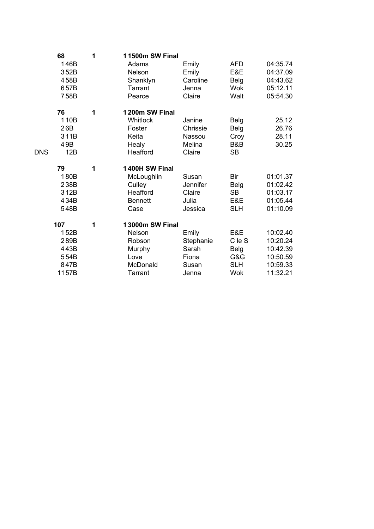|            | 68<br>146B<br>352B<br>458B<br>657B<br>758B           | 1 | 11500m SW Final<br>Adams<br>Nelson<br>Shanklyn<br><b>Tarrant</b><br>Pearce          | Emily<br>Emily<br>Caroline<br>Jenna<br>Claire          | <b>AFD</b><br>E&E<br>Belg<br><b>Wok</b><br>Walt          | 04:35.74<br>04:37.09<br>04:43.62<br>05:12.11<br>05:54.30             |
|------------|------------------------------------------------------|---|-------------------------------------------------------------------------------------|--------------------------------------------------------|----------------------------------------------------------|----------------------------------------------------------------------|
| <b>DNS</b> | 76<br>110B<br>26B<br>311B<br>49B<br>12B              | 1 | 1200m SW Final<br><b>Whitlock</b><br>Foster<br>Keita<br>Healy<br>Heafford           | Janine<br>Chrissie<br>Nassou<br>Melina<br>Claire       | Belg<br><b>Belg</b><br>Croy<br>B&B<br><b>SB</b>          | 25.12<br>26.76<br>28.11<br>30.25                                     |
|            | 79<br>180B<br>238B<br>312B<br>434B<br>548B           | 1 | 1400H SW Final<br>McLoughlin<br>Culley<br>Heafford<br><b>Bennett</b><br>Case        | Susan<br>Jennifer<br>Claire<br>Julia<br>Jessica        | <b>Bir</b><br>Belg<br><b>SB</b><br>E&E<br><b>SLH</b>     | 01:01.37<br>01:02.42<br>01:03.17<br>01:05.44<br>01:10.09             |
|            | 107<br>152B<br>289B<br>443B<br>554B<br>847B<br>1157B | 1 | 13000m SW Final<br>Nelson<br>Robson<br>Murphy<br>Love<br>McDonald<br><b>Tarrant</b> | Emily<br>Stephanie<br>Sarah<br>Fiona<br>Susan<br>Jenna | E&E<br>C le S<br>Belg<br>G&G<br><b>SLH</b><br><b>Wok</b> | 10:02.40<br>10:20.24<br>10:42.39<br>10:50.59<br>10:59.33<br>11:32.21 |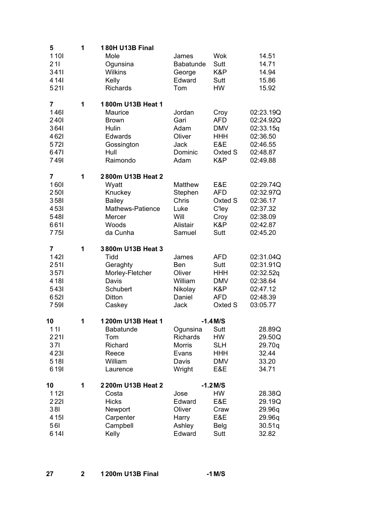| 5                       | 1 | <b>180H U13B Final</b>         |                    |                    |                        |
|-------------------------|---|--------------------------------|--------------------|--------------------|------------------------|
| 1101<br>211             |   | Mole<br>Ogunsina               | James<br>Babatunde | <b>Wok</b><br>Sutt | 14.51<br>14.71         |
| 3411                    |   | <b>Wilkins</b>                 | George             | K&P                | 14.94                  |
| 4 14 1                  |   | Kelly                          | Edward             | Sutt               | 15.86                  |
| 5211                    |   | <b>Richards</b>                | Tom                | <b>HW</b>          | 15.92                  |
| $\overline{\mathbf{r}}$ | 1 | 1800m U13B Heat 1              |                    |                    |                        |
| <b>1461</b><br>2401     |   | Maurice<br><b>Brown</b>        | Jordan<br>Gari     | Croy<br><b>AFD</b> | 02:23.19Q<br>02:24.92Q |
| 3641                    |   | Hulin                          | Adam               | <b>DMV</b>         | 02:33.15q              |
| 4621                    |   | Edwards                        | Oliver             | <b>HHH</b>         | 02:36.50               |
| 5721                    |   | Gossington                     | Jack               | E&E                | 02:46.55               |
| 6471<br>7491            |   | Hull<br>Raimondo               | Dominic<br>Adam    | Oxted S<br>K&P     | 02:48.87<br>02:49.88   |
|                         |   |                                |                    |                    |                        |
| 7<br>1601               | 1 | 2800m U13B Heat 2<br>Wyatt     | Matthew            | E&E                | 02:29.74Q              |
| 2501                    |   | Knuckey                        | Stephen            | <b>AFD</b>         | 02:32.97Q              |
| 3581                    |   | <b>Bailey</b>                  | Chris              | Oxted S            | 02:36.17               |
| 4531                    |   | Mathews-Patience               | Luke               | C'ley              | 02:37.32               |
| 548I                    |   | Mercer                         | Will               | Croy               | 02:38.09               |
| 6611<br><b>7751</b>     |   | Woods<br>da Cunha              | Alistair<br>Samuel | K&P<br>Sutt        | 02:42.87<br>02:45.20   |
|                         |   |                                |                    |                    |                        |
| 7<br><b>1421</b>        | 1 | 3800m U13B Heat 3<br>Tidd      | James              | <b>AFD</b>         | 02:31.04Q              |
| 2511                    |   | Geraghty                       | Ben                | Sutt               | 02:31.91Q              |
| 3571                    |   | Morley-Fletcher                | Oliver             | <b>HHH</b>         | 02:32.52q              |
| 4 18I                   |   | Davis                          | William            | <b>DMV</b>         | 02:38.64               |
| 5431<br>6521            |   | Schubert<br>Ditton             | Nikolay<br>Daniel  | K&P<br><b>AFD</b>  | 02:47.12<br>02:48.39   |
| 7591                    |   | Caskey                         | Jack               | Oxted S            | 03:05.77               |
|                         |   |                                |                    |                    |                        |
| 10<br>111               | 1 | 1200m U13B Heat 1<br>Babatunde | Ogunsina           | $-1.4$ M/S<br>Sutt | 28.89Q                 |
| 2211                    |   | Tom                            | <b>Richards</b>    | HW                 | 29.50Q                 |
| 371                     |   | Richard                        | <b>Morris</b>      | <b>SLH</b>         | 29.70q                 |
| 4231                    |   | Reece                          | Evans              | <b>HHH</b>         | 32.44                  |
| 518I<br>6 1 9 1         |   | William                        | Davis              | <b>DMV</b>         | 33.20                  |
|                         |   | Laurence                       | Wright             | E&E                | 34.71                  |
| 10                      | 1 | 2200m U13B Heat 2              |                    | $-1.2$ M/S         |                        |
| <b>1121</b><br>2221     |   | Costa<br><b>Hicks</b>          | Jose<br>Edward     | HW<br>E&E          | 28.38Q<br>29.19Q       |
| 381                     |   | Newport                        | Oliver             | Craw               | 29.96q                 |
| 4 1 5 I                 |   | Carpenter                      | Harry              | E&E                | 29.96q                 |
| <b>561</b>              |   | Campbell                       | Ashley             | <b>Belg</b>        | 30.51q                 |
| 6 14 1                  |   | Kelly                          | Edward             | Sutt               | 32.82                  |

| 1200m U13B Final<br>-27 | $-1$ M/S |
|-------------------------|----------|
|-------------------------|----------|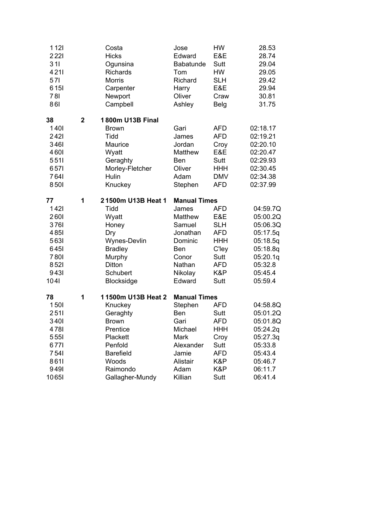| 1121<br>2221<br>311<br>4211<br>57I<br>6 1 5 1<br><b>781</b><br>861                  |                | Costa<br><b>Hicks</b><br>Ogunsina<br><b>Richards</b><br><b>Morris</b><br>Carpenter<br>Newport<br>Campbell                                                | Jose<br>Edward<br>Babatunde<br>Tom<br>Richard<br>Harry<br>Oliver<br>Ashley                                                     | HW<br>E&E<br>Sutt<br><b>HW</b><br><b>SLH</b><br>E&E<br>Craw<br>Belg                                | 28.53<br>28.74<br>29.04<br>29.05<br>29.42<br>29.94<br>30.81<br>31.75                                              |
|-------------------------------------------------------------------------------------|----------------|----------------------------------------------------------------------------------------------------------------------------------------------------------|--------------------------------------------------------------------------------------------------------------------------------|----------------------------------------------------------------------------------------------------|-------------------------------------------------------------------------------------------------------------------|
| 38<br>1401<br>2421<br>3461<br>4601<br>5511<br>6571<br>7641<br>8501                  | $\overline{2}$ | 1800m U13B Final<br><b>Brown</b><br>Tidd<br>Maurice<br>Wyatt<br>Geraghty<br>Morley-Fletcher<br>Hulin<br>Knuckey                                          | Gari<br>James<br>Jordan<br>Matthew<br><b>Ben</b><br>Oliver<br>Adam<br>Stephen                                                  | <b>AFD</b><br><b>AFD</b><br>Croy<br>E&E<br>Sutt<br><b>HHH</b><br><b>DMV</b><br><b>AFD</b>          | 02:18.17<br>02:19.21<br>02:20.10<br>02:20.47<br>02:29.93<br>02:30.45<br>02:34.38<br>02:37.99                      |
| 77<br>1421<br>2601<br>3761<br>485l<br>5631<br>6451<br>7801<br>8521<br>9431<br>104I  | 1              | 21500m U13B Heat 1<br>Tidd<br>Wyatt<br>Honey<br>Dry<br>Wynes-Devlin<br><b>Bradley</b><br>Murphy<br>Ditton<br>Schubert<br>Blocksidge                      | <b>Manual Times</b><br>James<br>Matthew<br>Samuel<br>Jonathan<br>Dominic<br><b>Ben</b><br>Conor<br>Nathan<br>Nikolay<br>Edward | <b>AFD</b><br>E&E<br><b>SLH</b><br><b>AFD</b><br>HHH<br>C'ley<br>Sutt<br><b>AFD</b><br>K&P<br>Sutt | 04:59.7Q<br>05:00.2Q<br>05:06.3Q<br>05:17.5q<br>05:18.5q<br>05:18.8q<br>05:20.1q<br>05:32.8<br>05:45.4<br>05:59.4 |
| 78<br>1501<br>2511<br>3401<br>4781<br>5551<br>6771<br>754I<br>8611<br>9491<br>10651 | 1              | 11500m U13B Heat 2<br>Knuckey<br>Geraghty<br><b>Brown</b><br>Prentice<br>Plackett<br>Penfold<br><b>Barefield</b><br>Woods<br>Raimondo<br>Gallagher-Mundy | <b>Manual Times</b><br>Stephen<br><b>Ben</b><br>Gari<br>Michael<br>Mark<br>Alexander<br>Jamie<br>Alistair<br>Adam<br>Killian   | <b>AFD</b><br>Sutt<br><b>AFD</b><br><b>HHH</b><br>Croy<br>Sutt<br><b>AFD</b><br>K&P<br>K&P<br>Sutt | 04:58.8Q<br>05:01.2Q<br>05:01.8Q<br>05:24.2q<br>05:27.3q<br>05:33.8<br>05:43.4<br>05:46.7<br>06:11.7<br>06:41.4   |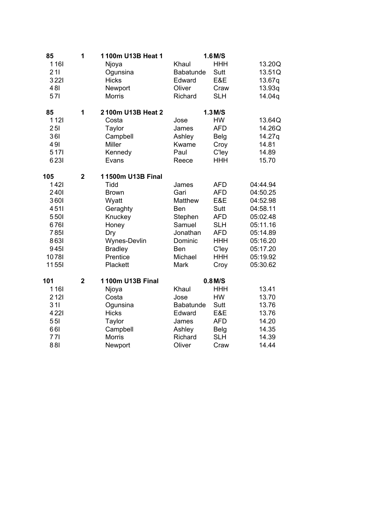| 85           | 1              | 1100m U13B Heat 1 |            | $1.6$ M/S  |          |
|--------------|----------------|-------------------|------------|------------|----------|
| 1161         |                | Njoya             | Khaul      | <b>HHH</b> | 13.20Q   |
| 211          |                | Ogunsina          | Babatunde  | Sutt       | 13.51Q   |
| 3221         |                | <b>Hicks</b>      | Edward     | E&E        | 13.67q   |
| 481          |                | Newport           | Oliver     | Craw       | 13.93q   |
| 571          |                | <b>Morris</b>     | Richard    | <b>SLH</b> | 14.04q   |
| 85           | 1              | 2100m U13B Heat 2 |            | $1.3$ M/S  |          |
| 1121         |                | Costa             | Jose       | <b>HW</b>  | 13.64Q   |
| 25I          |                | Taylor            | James      | <b>AFD</b> | 14.26Q   |
| 361          |                | Campbell          | Ashley     | Belg       | 14.27q   |
| 491          |                | Miller            | Kwame      | Croy       | 14.81    |
| 5 1 7 1      |                | Kennedy           | Paul       | C'ley      | 14.89    |
| 6231         |                | Evans             | Reece      | <b>HHH</b> | 15.70    |
| 105          | $\mathbf{2}$   | 11500m U13B Final |            |            |          |
| 1421         |                | Tidd              | James      | <b>AFD</b> | 04:44.94 |
| 2401         |                | <b>Brown</b>      | Gari       | <b>AFD</b> | 04:50.25 |
| 3601         |                | Wyatt             | Matthew    | E&E        | 04:52.98 |
| 4511         |                | Geraghty          | <b>Ben</b> | Sutt       | 04:58.11 |
| 5501         |                | Knuckey           | Stephen    | <b>AFD</b> | 05:02.48 |
| 6761         |                | Honey             | Samuel     | <b>SLH</b> | 05:11.16 |
| <b>7851</b>  |                | Dry               | Jonathan   | <b>AFD</b> | 05:14.89 |
| 8631         |                | Wynes-Devlin      | Dominic    | <b>HHH</b> | 05:16.20 |
| 9451         |                | <b>Bradley</b>    | <b>Ben</b> | C'ley      | 05:17.20 |
| 10781        |                | Prentice          | Michael    | <b>HHH</b> | 05:19.92 |
| <b>11551</b> |                | Plackett          | Mark       | Croy       | 05:30.62 |
| 101          | $\overline{2}$ | 1100m U13B Final  |            | $0.8$ M/S  |          |
| 1161         |                | Njoya             | Khaul      | <b>HHH</b> | 13.41    |
| 2 1 2 1      |                | Costa             | Jose       | <b>HW</b>  | 13.70    |
| 311          |                | Ogunsina          | Babatunde  | Sutt       | 13.76    |
| 4221         |                | <b>Hicks</b>      | Edward     | E&E        | 13.76    |
| 551          |                | Taylor            | James      | <b>AFD</b> | 14.20    |
| 661          |                | Campbell          | Ashley     | Belg       | 14.35    |
| 771          |                | <b>Morris</b>     | Richard    | <b>SLH</b> | 14.39    |
| 881          |                | Newport           | Oliver     | Craw       | 14.44    |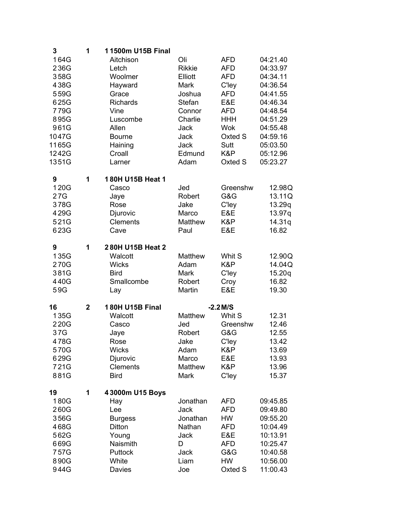| 3     | 1            | 11500m U15B Final      |               |            |          |
|-------|--------------|------------------------|---------------|------------|----------|
| 164G  |              | Aitchison              | Oli           | <b>AFD</b> | 04:21.40 |
| 236G  |              | Letch                  | <b>Rikkie</b> | <b>AFD</b> | 04:33.97 |
| 358G  |              | Woolmer                | Elliott       | <b>AFD</b> | 04:34.11 |
| 438G  |              | Hayward                | Mark          | C'ley      | 04:36.54 |
| 559G  |              | Grace                  | Joshua        | <b>AFD</b> | 04:41.55 |
| 625G  |              | Richards               | Stefan        | E&E        | 04:46.34 |
| 779G  |              | Vine                   | Connor        | AFD        | 04:48.54 |
| 895G  |              | Luscombe               | Charlie       | <b>HHH</b> | 04:51.29 |
| 961G  |              | Allen                  | <b>Jack</b>   | <b>Wok</b> | 04:55.48 |
| 1047G |              | <b>Bourne</b>          | <b>Jack</b>   | Oxted S    | 04:59.16 |
| 1165G |              | Haining                | <b>Jack</b>   | Sutt       |          |
|       |              |                        |               | K&P        | 05:03.50 |
| 1242G |              | Croall                 | Edmund        |            | 05:12.96 |
| 1351G |              | Larner                 | Adam          | Oxted S    | 05:23.27 |
| 9     | 1            | 180H U15B Heat 1       |               |            |          |
| 120G  |              | Casco                  | Jed           | Greenshw   | 12.98Q   |
| 27G   |              | Jaye                   | Robert        | G&G        | 13.11Q   |
| 378G  |              | Rose                   | Jake          | C'ley      | 13.29q   |
| 429G  |              | Djurovic               | Marco         | E&E        | 13.97q   |
| 521G  |              | <b>Clements</b>        | Matthew       | K&P        | 14.31q   |
| 623G  |              | Cave                   | Paul          | E&E        | 16.82    |
| 9     | 1            | 280H U15B Heat 2       |               |            |          |
| 135G  |              | Walcott                | Matthew       | Whit S     | 12.90Q   |
| 270G  |              | <b>Wicks</b>           | Adam          | K&P        | 14.04Q   |
| 381G  |              | <b>Bird</b>            | Mark          | C'ley      | 15.20q   |
|       |              |                        |               |            |          |
| 440G  |              | Smallcombe             | Robert        | Croy       | 16.82    |
| 59G   |              | Lay                    | Martin        | E&E        | 19.30    |
| 16    | $\mathbf{2}$ | <b>180H U15B Final</b> |               | $-2.2$ M/S |          |
| 135G  |              | Walcott                | Matthew       | Whit S     | 12.31    |
| 220G  |              | Casco                  | Jed           | Greenshw   | 12.46    |
| 37G   |              | Jaye                   | Robert        | G&G        | 12.55    |
| 478G  |              | Rose                   | Jake          | C'ley      | 13.42    |
| 570G  |              | <b>Wicks</b>           | Adam          | K&P        | 13.69    |
| 629G  |              | Djurovic               | Marco         | E&E        | 13.93    |
| 721G  |              | <b>Clements</b>        | Matthew       | K&P        | 13.96    |
| 881G  |              | <b>Bird</b>            | Mark          | C'ley      | 15.37    |
| 19    | 1            | 43000m U15 Boys        |               |            |          |
| 180G  |              | Hay                    | Jonathan      | <b>AFD</b> | 09:45.85 |
| 260G  |              | Lee                    | Jack          | <b>AFD</b> | 09:49.80 |
| 356G  |              | <b>Burgess</b>         | Jonathan      | HW         | 09:55.20 |
| 468G  |              | Ditton                 | Nathan        | AFD        | 10:04.49 |
| 562G  |              | Young                  | Jack          | E&E        | 10:13.91 |
| 669G  |              | Naismith               | D             | <b>AFD</b> | 10:25.47 |
| 757G  |              | Puttock                | <b>Jack</b>   | G&G        | 10:40.58 |
| 890G  |              | White                  | Liam          | HW         | 10:56.00 |
| 944G  |              | Davies                 | Joe           | Oxted S    | 11:00.43 |
|       |              |                        |               |            |          |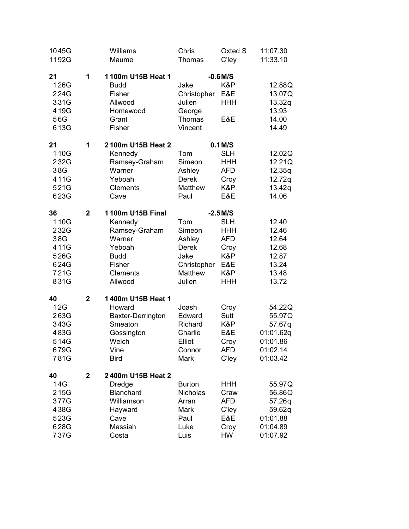| 1045G<br>1192G                                                    |                | Williams<br>Maume                                                                                                       | Chris<br>Thomas                                                                     | Oxted S<br>C'ley                                                                                | 11:07.30<br>11:33.10                                                        |
|-------------------------------------------------------------------|----------------|-------------------------------------------------------------------------------------------------------------------------|-------------------------------------------------------------------------------------|-------------------------------------------------------------------------------------------------|-----------------------------------------------------------------------------|
| 21<br>126G<br>224G<br>331G<br>419G<br>56G<br>613G                 | 1              | 1100m U15B Heat 1<br><b>Budd</b><br>Fisher<br>Allwood<br>Homewood<br>Grant<br>Fisher                                    | Jake<br>Christopher<br>Julien<br>George<br>Thomas<br>Vincent                        | $-0.6$ M/S<br>K&P<br>E&E<br><b>HHH</b><br>E&E                                                   | 12.88Q<br>13.07Q<br>13.32q<br>13.93<br>14.00<br>14.49                       |
| 21<br>110G<br>232G<br>38G<br>411G<br>521G<br>623G                 | 1              | 2100m U15B Heat 2<br>Kennedy<br>Ramsey-Graham<br>Warner<br>Yeboah<br><b>Clements</b><br>Cave                            | Tom<br>Simeon<br>Ashley<br><b>Derek</b><br>Matthew<br>Paul                          | $0.1$ M/S<br><b>SLH</b><br><b>HHH</b><br><b>AFD</b><br>Croy<br>K&P<br>E&E                       | 12.02Q<br>12.21Q<br>12.35q<br>12.72q<br>13.42q<br>14.06                     |
| 36<br>110G<br>232G<br>38G<br>411G<br>526G<br>624G<br>721G<br>831G | $\overline{2}$ | 1100m U15B Final<br>Kennedy<br>Ramsey-Graham<br>Warner<br>Yeboah<br><b>Budd</b><br>Fisher<br><b>Clements</b><br>Allwood | Tom<br>Simeon<br>Ashley<br><b>Derek</b><br>Jake<br>Christopher<br>Matthew<br>Julien | $-2.5$ M/S<br><b>SLH</b><br><b>HHH</b><br><b>AFD</b><br>Croy<br>K&P<br>E&E<br>K&P<br><b>HHH</b> | 12.40<br>12.46<br>12.64<br>12.68<br>12.87<br>13.24<br>13.48<br>13.72        |
| 40<br>12G<br>263G<br>343G<br>483G<br>514G<br>679G<br>781G         | $\overline{2}$ | 1400m U15B Heat 1<br>Howard<br>Baxter-Derrington<br>Smeaton<br>Gossington<br>Welch<br>Vine<br><b>Bird</b>               | Joash<br>Edward<br>Richard<br>Charlie<br>Elliot<br>Connor<br>Mark                   | Croy<br>Sutt<br>K&P<br>E&E<br>Croy<br><b>AFD</b><br>C'ley                                       | 54.22Q<br>55.97Q<br>57.67q<br>01:01.62q<br>01:01.86<br>01:02.14<br>01:03.42 |
| 40<br>14G<br>215G<br>377G<br>438G<br>523G<br>628G<br>737G         | $\mathbf 2$    | 2400m U15B Heat 2<br>Dredge<br>Blanchard<br>Williamson<br>Hayward<br>Cave<br>Massiah<br>Costa                           | <b>Burton</b><br>Nicholas<br>Arran<br>Mark<br>Paul<br>Luke<br>Luis                  | <b>HHH</b><br>Craw<br><b>AFD</b><br>C'ley<br>E&E<br>Croy<br>HW                                  | 55.97Q<br>56.86Q<br>57.26q<br>59.62q<br>01:01.88<br>01:04.89<br>01:07.92    |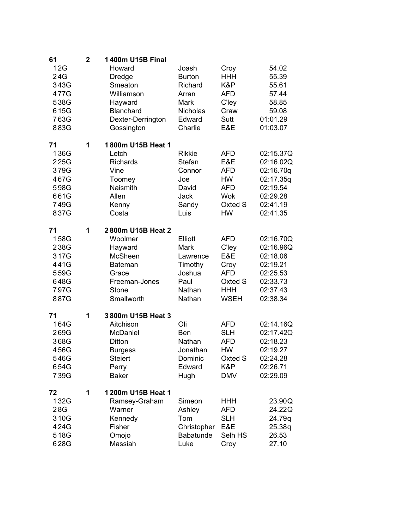| 61<br>12G<br>24G<br>343G<br>477G<br>538G<br>615G<br>763G<br>883G   | $\overline{2}$ | 1400m U15B Final<br>Howard<br>Dredge<br>Smeaton<br>Williamson<br>Hayward<br>Blanchard<br>Dexter-Derrington<br>Gossington | Joash<br><b>Burton</b><br>Richard<br>Arran<br>Mark<br>Nicholas<br>Edward<br>Charlie | Croy<br><b>HHH</b><br>K&P<br><b>AFD</b><br>C'ley<br>Craw<br>Sutt<br>E&E                          | 54.02<br>55.39<br>55.61<br>57.44<br>58.85<br>59.08<br>01:01.29<br>01:03.07                       |
|--------------------------------------------------------------------|----------------|--------------------------------------------------------------------------------------------------------------------------|-------------------------------------------------------------------------------------|--------------------------------------------------------------------------------------------------|--------------------------------------------------------------------------------------------------|
| 71<br>136G<br>225G<br>379G<br>467G<br>598G<br>661G<br>749G<br>837G | 1              | 1800m U15B Heat 1<br>Letch<br><b>Richards</b><br>Vine<br>Toomey<br>Naismith<br>Allen<br>Kenny<br>Costa                   | <b>Rikkie</b><br><b>Stefan</b><br>Connor<br>Joe<br>David<br>Jack<br>Sandy<br>Luis   | <b>AFD</b><br>E&E<br><b>AFD</b><br><b>HW</b><br><b>AFD</b><br><b>Wok</b><br>Oxted S<br><b>HW</b> | 02:15.37Q<br>02:16.02Q<br>02:16.70q<br>02:17.35q<br>02:19.54<br>02:29.28<br>02:41.19<br>02:41.35 |
| 71<br>158G<br>238G<br>317G<br>441G<br>559G<br>648G<br>797G<br>887G | 1              | 2800m U15B Heat 2<br>Woolmer<br>Hayward<br>McSheen<br>Bateman<br>Grace<br>Freeman-Jones<br><b>Stone</b><br>Smallworth    | Elliott<br>Mark<br>Lawrence<br>Timothy<br>Joshua<br>Paul<br>Nathan<br>Nathan        | <b>AFD</b><br>C'ley<br>E&E<br>Croy<br><b>AFD</b><br>Oxted S<br><b>HHH</b><br><b>WSEH</b>         | 02:16.70Q<br>02:16.96Q<br>02:18.06<br>02:19.21<br>02:25.53<br>02:33.73<br>02:37.43<br>02:38.34   |
| 71<br>164G<br>269G<br>368G<br>456G<br>546G<br>654G<br>739G         | 1              | 3800m U15B Heat 3<br>Aitchison<br>McDaniel<br>Ditton<br><b>Burgess</b><br><b>Steiert</b><br>Perry<br><b>Baker</b>        | Oli<br><b>Ben</b><br>Nathan<br>Jonathan<br>Dominic<br>Edward<br>Hugh                | <b>AFD</b><br><b>SLH</b><br><b>AFD</b><br><b>HW</b><br>Oxted S<br>K&P<br><b>DMV</b>              | 02:14.16Q<br>02:17.42Q<br>02:18.23<br>02:19.27<br>02:24.28<br>02:26.71<br>02:29.09               |
| 72<br>132G<br>28G<br>310G<br>424G<br>518G<br>628G                  | 1              | 1200m U15B Heat 1<br>Ramsey-Graham<br>Warner<br>Kennedy<br>Fisher<br>Omojo<br>Massiah                                    | Simeon<br>Ashley<br>Tom<br>Christopher<br>Babatunde<br>Luke                         | <b>HHH</b><br><b>AFD</b><br><b>SLH</b><br>E&E<br>Selh HS<br>Croy                                 | 23.90Q<br>24.22Q<br>24.79q<br>25.38q<br>26.53<br>27.10                                           |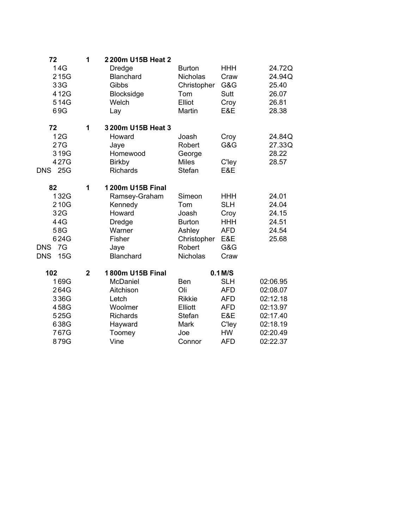| 72                | 1           | 2200m U15B Heat 2 |                 |             |          |
|-------------------|-------------|-------------------|-----------------|-------------|----------|
| 14G               |             | Dredge            | <b>Burton</b>   | <b>HHH</b>  | 24.72Q   |
| 215G              |             | Blanchard         | Nicholas        | Craw        | 24.94Q   |
| 33G               |             | Gibbs             | Christopher     | G&G         | 25.40    |
| 412G              |             | Blocksidge        | Tom             | <b>Sutt</b> | 26.07    |
| 514G              |             | Welch             | Elliot          | Croy        | 26.81    |
| 69G               |             | Lay               | Martin          | E&E         | 28.38    |
| 72                | 1           | 3200m U15B Heat 3 |                 |             |          |
| 12G               |             | Howard            | Joash           | Croy        | 24.84Q   |
| 27G               |             | Jaye              | Robert          | G&G         | 27.33Q   |
| 319G              |             | Homewood          | George          |             | 28.22    |
| 427G              |             | <b>Birkby</b>     | <b>Miles</b>    | C'ley       | 28.57    |
| 25G<br><b>DNS</b> |             | <b>Richards</b>   | Stefan          | E&E         |          |
| 82                | 1           | 1200m U15B Final  |                 |             |          |
| 132G              |             | Ramsey-Graham     | Simeon          | <b>HHH</b>  | 24.01    |
| 210G              |             | Kennedy           | Tom             | <b>SLH</b>  | 24.04    |
| 32G               |             | Howard            | Joash           | Croy        | 24.15    |
| 44G               |             | <b>Dredge</b>     | <b>Burton</b>   | <b>HHH</b>  | 24.51    |
| 58G               |             | Warner            | Ashley          | <b>AFD</b>  | 24.54    |
| 624G              |             | Fisher            | Christopher     | E&E         | 25.68    |
| 7G<br><b>DNS</b>  |             | Jaye              | Robert          | G&G         |          |
| 15G<br><b>DNS</b> |             | Blanchard         | <b>Nicholas</b> | Craw        |          |
| 102               | $\mathbf 2$ | 1800m U15B Final  |                 | $0.1$ M/S   |          |
| 169G              |             | McDaniel          | <b>Ben</b>      | <b>SLH</b>  | 02:06.95 |
| 264G              |             | Aitchison         | Oli             | <b>AFD</b>  | 02:08.07 |
| 336G              |             | Letch             | <b>Rikkie</b>   | <b>AFD</b>  | 02:12.18 |
| 458G              |             | Woolmer           | Elliott         | <b>AFD</b>  | 02:13.97 |
| 525G              |             | <b>Richards</b>   | Stefan          | E&E         | 02:17.40 |
| 638G              |             | Hayward           | Mark            | C'ley       | 02:18.19 |
| 767G              |             | Toomey            | Joe             | <b>HW</b>   | 02:20.49 |
| 879G              |             | Vine              | Connor          | <b>AFD</b>  | 02:22.37 |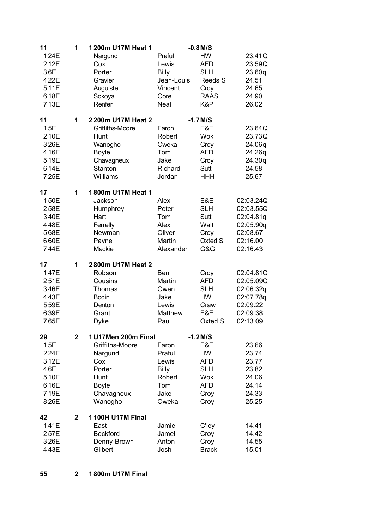| 11                                                         | 1            | 1200m U17M Heat 1                                                                                            |                                                                          | $-0.8$ M/S                                                                          |                                                                                      |
|------------------------------------------------------------|--------------|--------------------------------------------------------------------------------------------------------------|--------------------------------------------------------------------------|-------------------------------------------------------------------------------------|--------------------------------------------------------------------------------------|
| 124E<br>212E<br>36E<br>422E<br>511E<br>618E<br>713E        |              | Nargund<br>Cox<br>Porter<br>Gravier<br>Auguiste<br>Sokoya<br>Renfer                                          | Praful<br>Lewis<br><b>Billy</b><br>Jean-Louis<br>Vincent<br>Oore<br>Neal | <b>HW</b><br><b>AFD</b><br><b>SLH</b><br>Reeds S<br>Croy<br><b>RAAS</b><br>K&P      | 23.41Q<br>23.59Q<br>23.60q<br>24.51<br>24.65<br>24.90<br>26.02                       |
| 11<br>15E<br>210E<br>326E<br>416E<br>519E<br>614E<br>725E  | 1            | 2200m U17M Heat 2<br>Griffiths-Moore<br>Hunt<br>Wanogho<br><b>Boyle</b><br>Chavagneux<br>Stanton<br>Williams | Faron<br>Robert<br>Oweka<br>Tom<br>Jake<br>Richard<br>Jordan             | $-1.7$ M/S<br>E&E<br><b>Wok</b><br>Croy<br><b>AFD</b><br>Croy<br>Sutt<br><b>HHH</b> | 23.64Q<br>23.73Q<br>24.06q<br>24.26q<br>24.30q<br>24.58<br>25.67                     |
| 17<br>150E<br>258E<br>340E<br>448E<br>568E<br>660E<br>744E | 1            | 1800m U17M Heat 1<br>Jackson<br>Humphrey<br>Hart<br>Ferrelly<br>Newman<br>Payne<br>Mackie                    | Alex<br>Peter<br>Tom<br>Alex<br>Oliver<br>Martin<br>Alexander            | E&E<br><b>SLH</b><br>Sutt<br>Walt<br>Croy<br>Oxted S<br>G&G                         | 02:03.24Q<br>02:03.55Q<br>02:04.81q<br>02:05.90q<br>02:08.67<br>02:16.00<br>02:16.43 |
| 17<br>147E<br>251E<br>346E<br>443E<br>559E<br>639E<br>765E | 1            | 2800m U17M Heat 2<br>Robson<br>Cousins<br>Thomas<br><b>Bodin</b><br>Denton<br>Grant<br><b>Dyke</b>           | Ben<br>Martin<br>Owen<br>Jake<br>Lewis<br>Matthew<br>Paul                | Croy<br><b>AFD</b><br><b>SLH</b><br><b>HW</b><br>Craw<br>E&E<br>Oxted S             | 02:04.81Q<br>02:05.09Q<br>02:06.32q<br>02:07.78q<br>02:09.22<br>02:09.38<br>02:13.09 |
| 29<br>15E                                                  | $\mathbf{2}$ | 1 U17Men 200m Final<br>Griffiths-Moore                                                                       | Faron                                                                    | $-1.2$ M/S<br>E&E                                                                   | 23.66                                                                                |
| 224E<br>312E<br>46E<br>510E<br>616E<br>719E<br>826E        |              | Nargund<br>Cox<br>Porter<br>Hunt<br><b>Boyle</b><br>Chavagneux<br>Wanogho                                    | Praful<br>Lewis<br><b>Billy</b><br>Robert<br>Tom<br>Jake<br>Oweka        | <b>HW</b><br><b>AFD</b><br><b>SLH</b><br><b>Wok</b><br><b>AFD</b><br>Croy<br>Croy   | 23.74<br>23.77<br>23.82<br>24.06<br>24.14<br>24.33<br>25.25                          |
| 42<br>141E<br>257E<br>326E<br>443E                         | 2            | <b>1100H U17M Final</b><br>East<br><b>Beckford</b><br>Denny-Brown<br>Gilbert                                 | Jamie<br>Jamel<br>Anton<br>Josh                                          | C'ley<br>Croy<br>Croy<br><b>Brack</b>                                               | 14.41<br>14.42<br>14.55<br>15.01                                                     |

**2 1 800m U17M Final**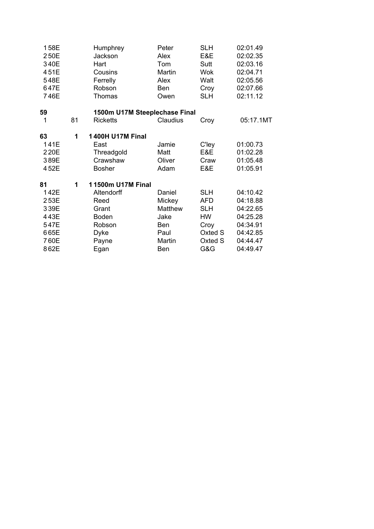| 158E<br>250E<br>340E<br>451E<br>548E<br>647E<br>746E               |    | Humphrey<br>Jackson<br>Hart<br>Cousins<br>Ferrelly<br>Robson<br>Thomas                                     | Peter<br>Alex<br>Tom<br>Martin<br>Alex<br><b>Ben</b><br>Owen        | <b>SLH</b><br>E&E<br>Sutt<br>Wok<br>Walt<br>Croy<br><b>SLH</b>                           | 02:01.49<br>02:02.35<br>02:03.16<br>02:04.71<br>02:05.56<br>02:07.66<br>02:11.12             |
|--------------------------------------------------------------------|----|------------------------------------------------------------------------------------------------------------|---------------------------------------------------------------------|------------------------------------------------------------------------------------------|----------------------------------------------------------------------------------------------|
| 59                                                                 |    | 1500m U17M Steeplechase Final                                                                              |                                                                     |                                                                                          |                                                                                              |
| 1                                                                  | 81 | <b>Ricketts</b>                                                                                            | Claudius                                                            | Croy                                                                                     | 05:17.1MT                                                                                    |
| 63<br>141E<br>220E<br>389E<br>452E                                 | 1  | <b>1400H U17M Final</b><br>East<br>Threadgold<br>Crawshaw<br><b>Bosher</b>                                 | Jamie<br>Matt<br>Oliver<br>Adam                                     | C'ley<br>E&E<br>Craw<br>E&E                                                              | 01:00.73<br>01:02.28<br>01:05.48<br>01:05.91                                                 |
| 81<br>142E<br>253E<br>339E<br>443E<br>547E<br>665E<br>760E<br>862E | 1  | 11500m U17M Final<br>Altendorff<br>Reed<br>Grant<br><b>Boden</b><br>Robson<br><b>Dyke</b><br>Payne<br>Egan | Daniel<br>Mickey<br>Matthew<br>Jake<br>Ben<br>Paul<br>Martin<br>Ben | <b>SLH</b><br><b>AFD</b><br><b>SLH</b><br><b>HW</b><br>Croy<br>Oxted S<br>Oxted S<br>G&G | 04:10.42<br>04:18.88<br>04:22.65<br>04:25.28<br>04:34.91<br>04:42.85<br>04:44.47<br>04:49.47 |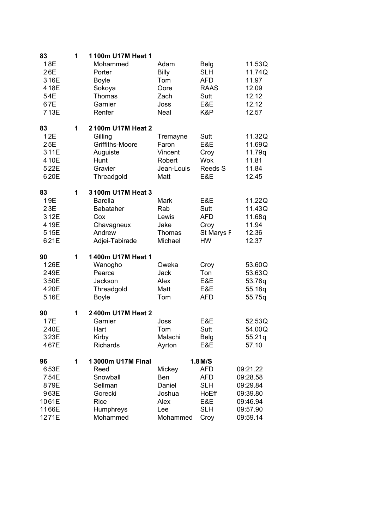| 83<br>18E<br>26E<br>316E                                      | 1 | 1100m U17M Heat 1<br>Mohammed<br>Porter<br><b>Boyle</b>                                                  | Adam<br>Billy<br>Tom                                                | <b>Belg</b><br><b>SLH</b><br><b>AFD</b>                                                   | 11.53Q<br>11.74Q<br>11.97                                                        |
|---------------------------------------------------------------|---|----------------------------------------------------------------------------------------------------------|---------------------------------------------------------------------|-------------------------------------------------------------------------------------------|----------------------------------------------------------------------------------|
| 418E<br>54E<br>67E<br>713E                                    |   | Sokoya<br>Thomas<br>Garnier<br>Renfer                                                                    | Oore<br>Zach<br>Joss<br>Neal                                        | <b>RAAS</b><br>Sutt<br>E&E<br>K&P                                                         | 12.09<br>12.12<br>12.12<br>12.57                                                 |
| 83<br>12E<br>25E<br>311E<br>410E<br>522E<br>620E              | 1 | 2100m U17M Heat 2<br>Gilling<br>Griffiths-Moore<br>Auguiste<br>Hunt<br>Gravier<br>Threadgold             | Tremayne<br>Faron<br>Vincent<br>Robert<br>Jean-Louis<br>Matt        | Sutt<br>E&E<br>Croy<br><b>Wok</b><br>Reeds S<br>E&E                                       | 11.32Q<br>11.69Q<br>11.79q<br>11.81<br>11.84<br>12.45                            |
| 83<br>19E<br>23E<br>312E<br>419E<br>515E<br>621E              | 1 | 3100m U17M Heat 3<br><b>Barella</b><br><b>Babataher</b><br>Cox<br>Chavagneux<br>Andrew<br>Adjei-Tabirade | Mark<br>Rab<br>Lewis<br>Jake<br>Thomas<br>Michael                   | E&E<br>Sutt<br><b>AFD</b><br>Croy<br>St Marys F<br><b>HW</b>                              | 11.22Q<br>11.43Q<br>11.68q<br>11.94<br>12.36<br>12.37                            |
| 90<br>126E<br>249E<br>350E<br>420E<br>516E                    | 1 | 1400m U17M Heat 1<br>Wanogho<br>Pearce<br>Jackson<br>Threadgold<br><b>Boyle</b>                          | Oweka<br>Jack<br>Alex<br>Matt<br>Tom                                | Croy<br>Ton<br>E&E<br>E&E<br><b>AFD</b>                                                   | 53.60Q<br>53.63Q<br>53.78q<br>55.18q<br>55.75q                                   |
| 90<br>17E<br>240E<br>323E<br>467E                             | 1 | 2400m U17M Heat 2<br>Garnier<br>Hart<br>Kirby<br><b>Richards</b>                                         | Joss<br>Tom<br>Malachi<br>Ayrton                                    | E&E<br>Sutt<br><b>Belg</b><br>E&E                                                         | 52.53Q<br>54.00Q<br>55.21q<br>57.10                                              |
| 96<br>653E<br>754E<br>879E<br>963E<br>1061E<br>1166E<br>1271E | 1 | 13000m U17M Final<br>Reed<br>Snowball<br>Sellman<br>Gorecki<br><b>Rice</b><br>Humphreys<br>Mohammed      | Mickey<br><b>Ben</b><br>Daniel<br>Joshua<br>Alex<br>Lee<br>Mohammed | $1.8$ M/S<br><b>AFD</b><br><b>AFD</b><br><b>SLH</b><br>HoEff<br>E&E<br><b>SLH</b><br>Croy | 09:21.22<br>09:28.58<br>09:29.84<br>09:39.80<br>09:46.94<br>09:57.90<br>09:59.14 |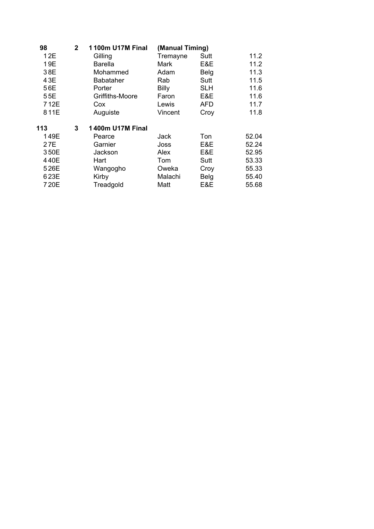| 98   | $\mathbf{2}$ | <b>1100m U17M Final</b> | (Manual Timing) |             |       |
|------|--------------|-------------------------|-----------------|-------------|-------|
| 12E  |              | Gilling                 | Tremayne        | Sutt        | 11.2  |
| 19E  |              | <b>Barella</b>          | Mark            | E&E         | 11.2  |
| 38E  |              | Mohammed                | Adam            | <b>Belg</b> | 11.3  |
| 43E  |              | <b>Babataher</b>        | Rab             | Sutt        | 11.5  |
| 56E  |              | Porter                  | <b>Billy</b>    | <b>SLH</b>  | 11.6  |
| 55E  |              | Griffiths-Moore         | Faron           | E&E         | 11.6  |
| 712E |              | Cox                     | Lewis           | AFD         | 11.7  |
| 811E |              | Auguiste                | Vincent         | Croy        | 11.8  |
| 113  | 3            | <b>1400m U17M Final</b> |                 |             |       |
| 149E |              | Pearce                  | <b>Jack</b>     | Ton         | 52.04 |
| 27E  |              | Garnier                 | Joss            | E&E         | 52.24 |
| 350E |              | Jackson                 | Alex            | E&E         | 52.95 |
| 440E |              | Hart                    | Tom             | Sutt        | 53.33 |
| 526E |              | Wangogho                | Oweka           | Croy        | 55.33 |
| 623E |              | Kirby                   | Malachi         | Belg        | 55.40 |
| 720E |              | Treadgold               | Matt            | E&E         | 55.68 |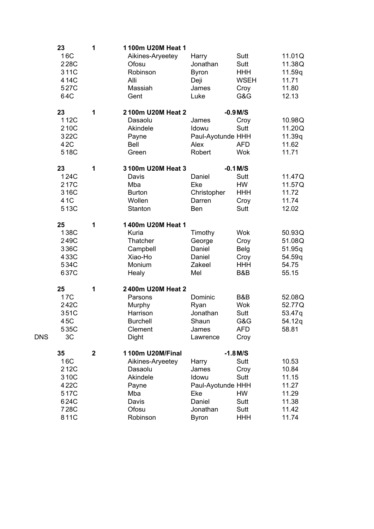|            | 23   | 1                       | 1100m U20M Heat 1 |                   |             |        |
|------------|------|-------------------------|-------------------|-------------------|-------------|--------|
|            | 16C  |                         | Aikines-Aryeetey  | Harry             | Sutt        | 11.01Q |
|            | 228C |                         | Ofosu             | Jonathan          | Sutt        | 11.38Q |
|            | 311C |                         | Robinson          | <b>Byron</b>      | <b>HHH</b>  | 11.59q |
|            | 414C |                         | Alli              | Deji              | <b>WSEH</b> | 11.71  |
|            | 527C |                         | Massiah           | James             | Croy        | 11.80  |
|            | 64C  |                         | Gent              | Luke              | G&G         | 12.13  |
|            | 23   | 1                       | 2100m U20M Heat 2 |                   | $-0.9$ M/S  |        |
|            | 112C |                         | Dasaolu           | James             | Croy        | 10.98Q |
|            | 210C |                         | Akindele          | Idowu             | Sutt        | 11.20Q |
|            | 322C |                         | Payne             | Paul-Ayotunde HHH |             | 11.39q |
|            | 42C  |                         | Bell              | Alex              | <b>AFD</b>  | 11.62  |
|            | 518C |                         | Green             | Robert            | <b>Wok</b>  | 11.71  |
|            | 23   | 1                       | 3100m U20M Heat 3 |                   | $-0.1$ M/S  |        |
|            | 124C |                         | Davis             | Daniel            | Sutt        | 11.47Q |
|            | 217C |                         | Mba               | Eke               | <b>HW</b>   | 11.57Q |
|            | 316C |                         | <b>Burton</b>     | Christopher       | <b>HHH</b>  | 11.72  |
|            | 41C  |                         | Wollen            | Darren            | Croy        | 11.74  |
|            | 513C |                         | Stanton           | Ben               | Sutt        | 12.02  |
|            | 25   | 1                       | 1400m U20M Heat 1 |                   |             |        |
|            | 138C |                         | Kuria             | Timothy           | <b>Wok</b>  | 50.93Q |
|            | 249C |                         | Thatcher          | George            | Croy        | 51.08Q |
|            | 336C |                         | Campbell          | Daniel            | <b>Belg</b> | 51.95q |
|            | 433C |                         | Xiao-Ho           | Daniel            | Croy        | 54.59q |
|            | 534C |                         | Monium            | Zakeel            | <b>HHH</b>  | 54.75  |
|            | 637C |                         | Healy             | Mel               | B&B         | 55.15  |
|            | 25   | 1                       | 2400m U20M Heat 2 |                   |             |        |
|            | 17C  |                         | Parsons           | Dominic           | B&B         | 52.08Q |
|            | 242C |                         | Murphy            | Ryan              | <b>Wok</b>  | 52.77Q |
|            | 351C |                         | Harrison          | Jonathan          | Sutt        | 53.47q |
|            | 45C  |                         | <b>Burchell</b>   | Shaun             | G&G         | 54.12q |
|            | 535C |                         | Clement           | James             | <b>AFD</b>  | 58.81  |
| <b>DNS</b> | 3C   |                         | Dight             | Lawrence          | Croy        |        |
|            | 35   | $\overline{\mathbf{2}}$ | 1100m U20M/Final  |                   | $-1.8$ M/S  |        |
|            | 16C  |                         | Aikines-Aryeetey  | Harry             | Sutt        | 10.53  |
|            | 212C |                         | Dasaolu           | James             | Croy        | 10.84  |
|            | 310C |                         | Akindele          | Idowu             | Sutt        | 11.15  |
|            | 422C |                         | Payne             | Paul-Ayotunde HHH |             | 11.27  |
|            | 517C |                         | Mba               | Eke               | <b>HW</b>   | 11.29  |
|            | 624C |                         | Davis             | Daniel            | Sutt        | 11.38  |
|            | 728C |                         | Ofosu             | Jonathan          | Sutt        | 11.42  |
|            | 811C |                         | Robinson          | <b>Byron</b>      | <b>HHH</b>  | 11.74  |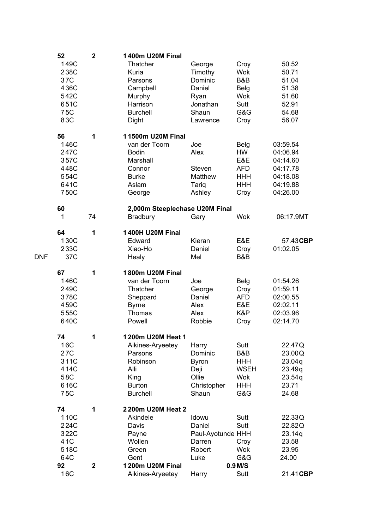|            | 52   | $\mathbf 2$ | <b>1400m U20M Final</b>        |                   |             |           |
|------------|------|-------------|--------------------------------|-------------------|-------------|-----------|
|            | 149C |             | Thatcher                       | George            | Croy        | 50.52     |
|            | 238C |             | Kuria                          | Timothy           | <b>Wok</b>  | 50.71     |
|            | 37C  |             | Parsons                        | Dominic           | B&B         | 51.04     |
|            | 436C |             | Campbell                       | Daniel            | Belg        | 51.38     |
|            | 542C |             | Murphy                         | Ryan              | <b>Wok</b>  | 51.60     |
|            | 651C |             | Harrison                       | Jonathan          | Sutt        | 52.91     |
|            | 75C  |             | <b>Burchell</b>                | Shaun             | G&G         | 54.68     |
|            | 83C  |             | Dight                          | Lawrence          | Croy        | 56.07     |
|            | 56   | 1           | 11500m U20M Final              |                   |             |           |
|            | 146C |             | van der Toorn                  | Joe               | Belg        | 03:59.54  |
|            | 247C |             | <b>Bodin</b>                   | Alex              | <b>HW</b>   | 04:06.94  |
|            | 357C |             | Marshall                       |                   | E&E         | 04:14.60  |
|            | 448C |             | Connor                         | Steven            | <b>AFD</b>  | 04:17.78  |
|            | 554C |             | <b>Burke</b>                   | <b>Matthew</b>    | <b>HHH</b>  | 04:18.08  |
|            | 641C |             | Aslam                          | Tariq             | <b>HHH</b>  | 04:19.88  |
|            | 750C |             | George                         | Ashley            | Croy        | 04:26.00  |
|            | 60   |             | 2,000m Steeplechase U20M Final |                   |             |           |
|            | 1    | 74          | <b>Bradbury</b>                | Gary              | <b>Wok</b>  | 06:17.9MT |
|            | 64   | 1           | <b>1400H U20M Final</b>        |                   |             |           |
|            | 130C |             | Edward                         | Kieran            | E&E         | 57.43CBP  |
|            | 233C |             | Xiao-Ho                        | Daniel            | Croy        | 01:02.05  |
| <b>DNF</b> | 37C  |             | Healy                          | Mel               | B&B         |           |
|            | 67   | 1           | 1800m U20M Final               |                   |             |           |
|            | 146C |             | van der Toorn                  | Joe               | Belg        | 01:54.26  |
|            | 249C |             | Thatcher                       | George            | Croy        | 01:59.11  |
|            | 378C |             | Sheppard                       | Daniel            | <b>AFD</b>  | 02:00.55  |
|            | 459C |             | <b>Byrne</b>                   | Alex              | E&E         | 02:02.11  |
|            | 555C |             | Thomas                         | Alex              | K&P         | 02:03.96  |
|            | 640C |             | Powell                         | Robbie            | Croy        | 02:14.70  |
|            | 74   | 1           | 1200m U20M Heat 1              |                   |             |           |
|            | 16C  |             | Aikines-Aryeetey               | Harry             | Sutt        | 22.47Q    |
|            | 27C  |             | Parsons                        | Dominic           | B&B         | 23.00Q    |
|            | 311C |             | Robinson                       | <b>Byron</b>      | <b>HHH</b>  | 23.04q    |
|            | 414C |             | Alli                           | Deji              | <b>WSEH</b> | 23.49q    |
|            | 58C  |             | King                           | Ollie             | <b>Wok</b>  | 23.54q    |
|            | 616C |             | <b>Burton</b>                  | Christopher       | <b>HHH</b>  | 23.71     |
|            | 75C  |             | <b>Burchell</b>                | Shaun             | G&G         | 24.68     |
|            | 74   | 1           | 2200m U20M Heat 2              |                   |             |           |
|            | 110C |             | Akindele                       | Idowu             | Sutt        | 22.33Q    |
|            | 224C |             | Davis                          | Daniel            | Sutt        | 22.82Q    |
|            | 322C |             | Payne                          | Paul-Ayotunde HHH |             | 23.14q    |
|            | 41C  |             | Wollen                         | Darren            | Croy        | 23.58     |
|            | 518C |             | Green                          | Robert            | <b>Wok</b>  | 23.95     |
|            | 64C  |             | Gent                           | Luke              | G&G         | 24.00     |
|            | 92   | $\mathbf 2$ | 1200m U20M Final               |                   | $0.9$ M/S   |           |
|            | 16C  |             | Aikines-Aryeetey               | Harry             | Sutt        | 21.41CBP  |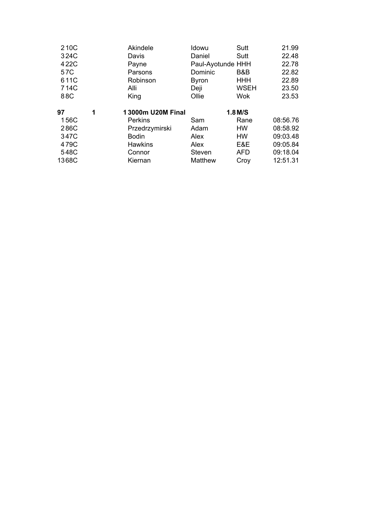| 210C  |   | Akindele          | Idowu             | Sutt        | 21.99    |
|-------|---|-------------------|-------------------|-------------|----------|
| 324C  |   | Davis             | Daniel            | Sutt        | 22.48    |
| 422C  |   | Payne             | Paul-Ayotunde HHH |             | 22.78    |
| 57C   |   | Parsons           | Dominic           | B&B         | 22.82    |
| 611C  |   | Robinson          | <b>Byron</b>      | <b>HHH</b>  | 22.89    |
| 714C  |   | Alli              | Deji              | <b>WSEH</b> | 23.50    |
| 88C   |   | King              | Ollie             | Wok         | 23.53    |
|       |   |                   |                   |             |          |
|       |   |                   |                   |             |          |
| 97    | 1 | 13000m U20M Final |                   | $1.8$ M/S   |          |
| 156C  |   | <b>Perkins</b>    | Sam               | Rane        | 08:56.76 |
| 286C  |   | Przedrzymirski    | Adam              | HW          | 08:58.92 |
| 347C  |   | <b>Bodin</b>      | Alex              | HW          | 09:03.48 |
| 479C  |   | <b>Hawkins</b>    | Alex              | E&E         | 09:05.84 |
| 548C  |   | Connor            | Steven            | <b>AFD</b>  | 09:18.04 |
| 1368C |   | Kiernan           | Matthew           | Croy        | 12:51.31 |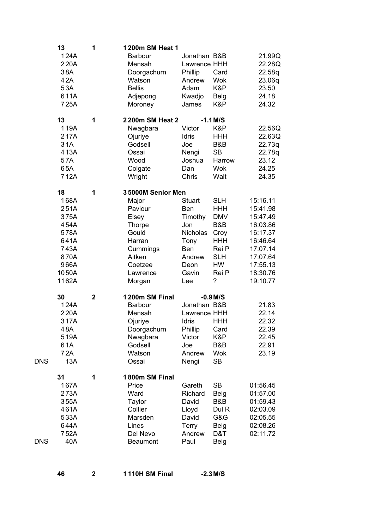|            | 13           | 1           | 1200m SM Heat 1         |                              |                     |                      |
|------------|--------------|-------------|-------------------------|------------------------------|---------------------|----------------------|
|            | 124A<br>220A |             | Barbour<br>Mensah       | Jonathan B&B<br>Lawrence HHH |                     | 21.99Q<br>22.28Q     |
|            | 38A          |             |                         |                              | Card                |                      |
|            | 42A          |             | Doorgachurn<br>Watson   | Phillip<br>Andrew            | <b>Wok</b>          | 22.58q<br>23.06q     |
|            | 53A          |             | <b>Bellis</b>           | Adam                         | K&P                 | 23.50                |
|            | 611A         |             | Adjepong                | Kwadjo                       | <b>Belg</b>         | 24.18                |
|            | 725A         |             | Moroney                 | James                        | K&P                 | 24.32                |
|            | 13           | 1           | 2200m SM Heat 2         |                              | $-1.1$ M/S          |                      |
|            | 119A         |             | Nwagbara                | Victor                       | K&P                 | 22.56Q               |
|            | 217A         |             | Ojuriye                 | Idris                        | <b>HHH</b>          | 22.63Q               |
|            | 31A          |             | Godsell                 | Joe                          | B&B                 | 22.73q               |
|            | 413A         |             | Ossai                   | Nengi                        | <b>SB</b>           | 22.78q               |
|            | 57A          |             | Wood                    | Joshua                       | Harrow              | 23.12                |
|            | 65A          |             | Colgate                 | Dan                          | <b>Wok</b>          | 24.25                |
|            | 712A         |             | Wright                  | Chris                        | Walt                | 24.35                |
|            | 18           | 1           | 35000M Senior Men       |                              |                     |                      |
|            | 168A         |             | Major                   | <b>Stuart</b>                | <b>SLH</b>          | 15:16.11             |
|            | 251A         |             | Paviour                 | Ben                          | <b>HHH</b>          | 15:41.98             |
|            | 375A         |             | Elsey                   | Timothy                      | <b>DMV</b>          | 15:47.49             |
|            | 454A         |             | <b>Thorpe</b>           | Jon                          | B&B                 | 16:03.86             |
|            | 578A         |             | Gould                   | Nicholas                     | Croy                | 16:17.37             |
|            | 641A<br>743A |             | Harran                  | Tony<br><b>Ben</b>           | <b>HHH</b><br>Rei P | 16:46.64<br>17:07.14 |
|            | 870A         |             | Cummings<br>Aitken      | Andrew                       | <b>SLH</b>          | 17:07.64             |
|            | 966A         |             | Coetzee                 | Deon                         | <b>HW</b>           | 17:55.13             |
|            | 1050A        |             | Lawrence                | Gavin                        | Rei P               | 18:30.76             |
|            | 1162A        |             | Morgan                  | Lee                          | ?                   | 19:10.77             |
|            |              |             |                         |                              |                     |                      |
|            | 30           | $\mathbf 2$ | 1200m SM Final          |                              | $-0.9$ M/S          |                      |
|            | 124A<br>220A |             | <b>Barbour</b>          | Jonathan B&B                 |                     | 21.83                |
|            | 317A         |             | Mensah                  | Lawrence HHH<br>Idris        | <b>HHH</b>          | 22.14<br>22.32       |
|            | 48A          |             | Ojuriye                 | Phillip                      | Card                | 22.39                |
|            | 519A         |             | Doorgachurn<br>Nwagbara | Victor                       | K&P                 | 22.45                |
|            | 61A          |             | Godsell                 | Joe                          | B&B                 | 22.91                |
|            | 72A          |             | Watson                  | Andrew                       | <b>Wok</b>          | 23.19                |
| <b>DNS</b> | 13A          |             | Ossai                   | Nengi                        | <b>SB</b>           |                      |
|            | 31           | 1           | 1800m SM Final          |                              |                     |                      |
|            | 167A         |             | Price                   | Gareth                       | <b>SB</b>           | 01:56.45             |
|            | 273A         |             | Ward                    | Richard                      | <b>Belg</b>         | 01:57.00             |
|            | 355A         |             | Taylor                  | David                        | B&B                 | 01:59.43             |
|            | 461A         |             | Collier                 | Lloyd                        | Dul R               | 02:03.09             |
|            | 533A         |             | Marsden                 | David                        | G&G                 | 02:05.55             |
|            | 644A         |             | Lines                   | <b>Terry</b>                 | <b>Belg</b>         | 02:08.26             |
|            | 752A         |             | Del Nevo                | Andrew                       | D&T                 | 02:11.72             |
| DNS        | 40A          |             | <b>Beaumont</b>         | Paul                         | <b>Belg</b>         |                      |
|            |              |             |                         |                              |                     |                      |
|            |              |             |                         |                              |                     |                      |

**2 1 110H SM Final -2.3M/S**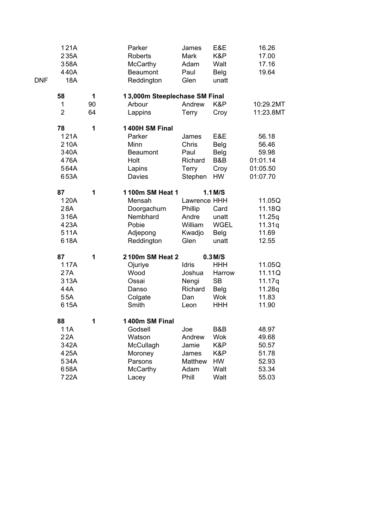|            | 121A           |    | Parker                        | James        | E&E         | 16.26     |
|------------|----------------|----|-------------------------------|--------------|-------------|-----------|
|            | 235A           |    | <b>Roberts</b>                | Mark         | K&P         | 17.00     |
|            | 358A           |    | McCarthy                      | Adam         | Walt        | 17.16     |
|            | 440A           |    | <b>Beaumont</b>               | Paul         | <b>Belg</b> | 19.64     |
| <b>DNF</b> | 18A            |    | Reddington                    | Glen         | unatt       |           |
|            | 58             | 1  | 13,000m Steeplechase SM Final |              |             |           |
|            | 1              | 90 | Arbour                        | Andrew       | K&P         | 10:29.2MT |
|            | $\overline{2}$ | 64 | Lappins                       | Terry        | Croy        | 11:23.8MT |
|            | 78             | 1  | 1400H SM Final                |              |             |           |
|            | 121A           |    | Parker                        | James        | E&E         | 56.18     |
|            | 210A           |    | Minn                          | Chris        | <b>Belg</b> | 56.46     |
|            | 340A           |    | <b>Beaumont</b>               | Paul         | <b>Belg</b> | 59.98     |
|            | 476A           |    | Holt                          | Richard      | B&B         | 01:01.14  |
|            | 564A           |    | Lapins                        | Terry        | Croy        | 01:05.50  |
|            | 653A           |    | Davies                        | Stephen      | <b>HW</b>   | 01:07.70  |
|            | 87             | 1  | 1100m SM Heat 1               |              | $1.1$ M/S   |           |
|            | 120A           |    | Mensah                        | Lawrence HHH |             | 11.05Q    |
|            | 28A            |    | Doorgachurn                   | Phillip      | Card        | 11.18Q    |
|            | 316A           |    | Nembhard                      | Andre        | unatt       | 11.25q    |
|            | 423A           |    | Pobie                         | William      | <b>WGEL</b> | 11.31q    |
|            | 511A           |    | Adjepong                      | Kwadjo       | Belg        | 11.69     |
|            | 618A           |    | Reddington                    | Glen         | unatt       | 12.55     |
|            | 87             | 1  | 2100m SM Heat 2               |              | $0.3$ M/S   |           |
|            | 117A           |    | Ojuriye                       | <b>Idris</b> | <b>HHH</b>  | 11.05Q    |
|            | 27A            |    | Wood                          | Joshua       | Harrow      | 11.11Q    |
|            | 313A           |    | Ossai                         | Nengi        | <b>SB</b>   | 11.17q    |
|            | 44A            |    | Danso                         | Richard      | <b>Belg</b> | 11.28q    |
|            | 55A            |    | Colgate                       | Dan          | <b>Wok</b>  | 11.83     |
|            | 615A           |    | Smith                         | Leon         | <b>HHH</b>  | 11.90     |
|            | 88             | 1  | 1400m SM Final                |              |             |           |
|            | 11A            |    | Godsell                       | Joe          | B&B         | 48.97     |
|            | 22A            |    | Watson                        | Andrew       | <b>Wok</b>  | 49.68     |
|            | 342A           |    | McCullagh                     | Jamie        | K&P         | 50.57     |
|            | 425A           |    | Moroney                       | James        | K&P         | 51.78     |
|            | 534A           |    | Parsons                       | Matthew      | HW          | 52.93     |
|            | 658A           |    | <b>McCarthy</b>               | Adam         | Walt        | 53.34     |
|            | 722A           |    | Lacey                         | Phill        | Walt        | 55.03     |